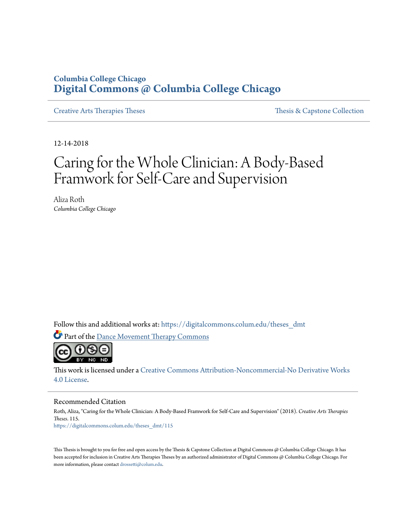# **Columbia College Chicago [Digital Commons @ Columbia College Chicago](https://digitalcommons.colum.edu?utm_source=digitalcommons.colum.edu%2Ftheses_dmt%2F115&utm_medium=PDF&utm_campaign=PDFCoverPages)**

[Creative Arts Therapies Theses](https://digitalcommons.colum.edu/theses_dmt?utm_source=digitalcommons.colum.edu%2Ftheses_dmt%2F115&utm_medium=PDF&utm_campaign=PDFCoverPages) Theses Theses [Thesis & Capstone Collection](https://digitalcommons.colum.edu/thesiscoll?utm_source=digitalcommons.colum.edu%2Ftheses_dmt%2F115&utm_medium=PDF&utm_campaign=PDFCoverPages)

12-14-2018

# Caring for the Whole Clinician: A Body-Based Framwork for Self-Care and Supervision

Aliza Roth *Columbia College Chicago*

Follow this and additional works at: [https://digitalcommons.colum.edu/theses\\_dmt](https://digitalcommons.colum.edu/theses_dmt?utm_source=digitalcommons.colum.edu%2Ftheses_dmt%2F115&utm_medium=PDF&utm_campaign=PDFCoverPages)

Part of the [Dance Movement Therapy Commons](http://network.bepress.com/hgg/discipline/1150?utm_source=digitalcommons.colum.edu%2Ftheses_dmt%2F115&utm_medium=PDF&utm_campaign=PDFCoverPages)



This work is licensed under a [Creative Commons Attribution-Noncommercial-No Derivative Works](http://creativecommons.org/licenses/by-nc-nd/4.0/) [4.0 License.](http://creativecommons.org/licenses/by-nc-nd/4.0/)

#### Recommended Citation

Roth, Aliza, "Caring for the Whole Clinician: A Body-Based Framwork for Self-Care and Supervision" (2018). *Creative Arts Therapies Theses*. 115. [https://digitalcommons.colum.edu/theses\\_dmt/115](https://digitalcommons.colum.edu/theses_dmt/115?utm_source=digitalcommons.colum.edu%2Ftheses_dmt%2F115&utm_medium=PDF&utm_campaign=PDFCoverPages)

This Thesis is brought to you for free and open access by the Thesis & Capstone Collection at Digital Commons @ Columbia College Chicago. It has been accepted for inclusion in Creative Arts Therapies Theses by an authorized administrator of Digital Commons @ Columbia College Chicago. For more information, please contact [drossetti@colum.edu.](mailto:drossetti@colum.edu)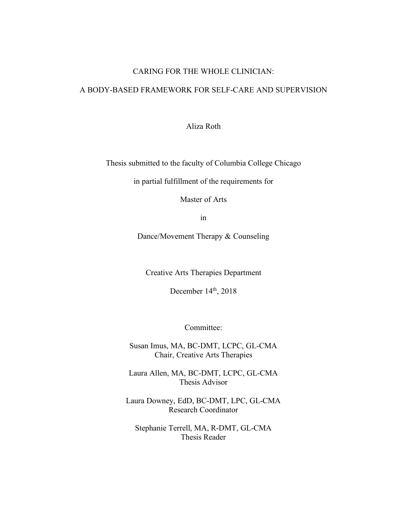# CARING FOR THE WHOLE CLINICIAN:

# A BODY-BASED FRAMEWORK FOR SELF-CARE AND SUPERVISION

Aliza Roth

Thesis submitted to the faculty of Columbia College Chicago

in partial fulfillment of the requirements for

Master of Arts

in

Dance/Movement Therapy & Counseling

Creative Arts Therapies Department

December 14<sup>th</sup>, 2018

Committee:

Susan Imus, MA, BC-DMT, LCPC, GL-CMA Chair, Creative Arts Therapies

Laura Allen, MA, BC-DMT, LCPC, GL-CMA Thesis Advisor

Laura Downey, EdD, BC-DMT, LPC, GL-CMA Research Coordinator

Stephanie Terrell, MA, R-DMT, GL-CMA Thesis Reader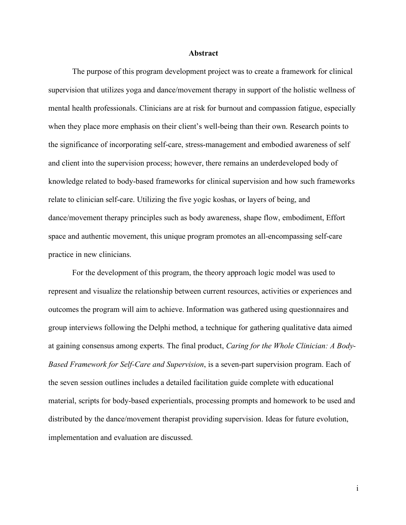#### **Abstract**

The purpose of this program development project was to create a framework for clinical supervision that utilizes yoga and dance/movement therapy in support of the holistic wellness of mental health professionals. Clinicians are at risk for burnout and compassion fatigue, especially when they place more emphasis on their client's well-being than their own. Research points to the significance of incorporating self-care, stress-management and embodied awareness of self and client into the supervision process; however, there remains an underdeveloped body of knowledge related to body-based frameworks for clinical supervision and how such frameworks relate to clinician self-care. Utilizing the five yogic koshas, or layers of being, and dance/movement therapy principles such as body awareness, shape flow, embodiment, Effort space and authentic movement, this unique program promotes an all-encompassing self-care practice in new clinicians.

For the development of this program, the theory approach logic model was used to represent and visualize the relationship between current resources, activities or experiences and outcomes the program will aim to achieve. Information was gathered using questionnaires and group interviews following the Delphi method, a technique for gathering qualitative data aimed at gaining consensus among experts. The final product, *Caring for the Whole Clinician: A Body-Based Framework for Self-Care and Supervision*, is a seven-part supervision program. Each of the seven session outlines includes a detailed facilitation guide complete with educational material, scripts for body-based experientials, processing prompts and homework to be used and distributed by the dance/movement therapist providing supervision. Ideas for future evolution, implementation and evaluation are discussed.

i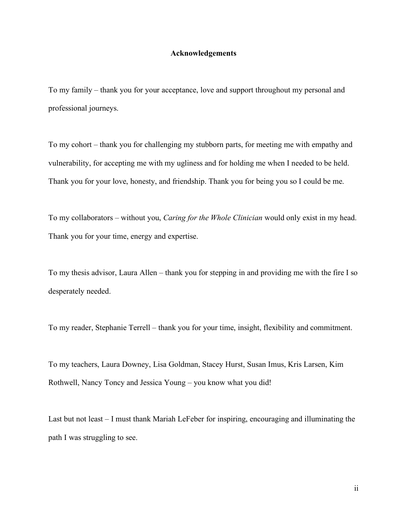#### **Acknowledgements**

To my family – thank you for your acceptance, love and support throughout my personal and professional journeys.

To my cohort – thank you for challenging my stubborn parts, for meeting me with empathy and vulnerability, for accepting me with my ugliness and for holding me when I needed to be held. Thank you for your love, honesty, and friendship. Thank you for being you so I could be me.

To my collaborators – without you, *Caring for the Whole Clinician* would only exist in my head. Thank you for your time, energy and expertise.

To my thesis advisor, Laura Allen – thank you for stepping in and providing me with the fire I so desperately needed.

To my reader, Stephanie Terrell – thank you for your time, insight, flexibility and commitment.

To my teachers, Laura Downey, Lisa Goldman, Stacey Hurst, Susan Imus, Kris Larsen, Kim Rothwell, Nancy Toncy and Jessica Young – you know what you did!

Last but not least – I must thank Mariah LeFeber for inspiring, encouraging and illuminating the path I was struggling to see.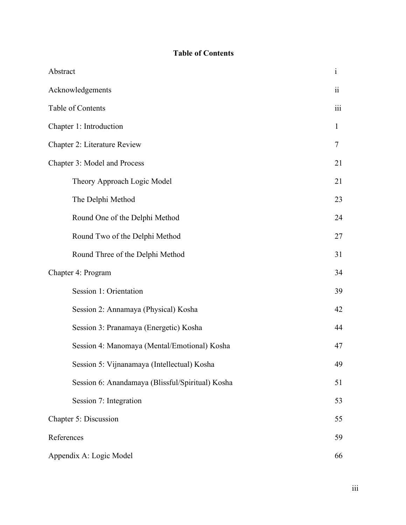# **Table of Contents**

| Abstract                                         | $\mathbf{i}$   |
|--------------------------------------------------|----------------|
| Acknowledgements                                 | $\ddot{\rm n}$ |
| Table of Contents                                | iii            |
| Chapter 1: Introduction                          | $\mathbf{1}$   |
| Chapter 2: Literature Review                     | 7              |
| Chapter 3: Model and Process                     | 21             |
| Theory Approach Logic Model                      | 21             |
| The Delphi Method                                | 23             |
| Round One of the Delphi Method                   | 24             |
| Round Two of the Delphi Method                   | 27             |
| Round Three of the Delphi Method                 | 31             |
| Chapter 4: Program                               | 34             |
| Session 1: Orientation                           | 39             |
| Session 2: Annamaya (Physical) Kosha             | 42             |
| Session 3: Pranamaya (Energetic) Kosha           | 44             |
| Session 4: Manomaya (Mental/Emotional) Kosha     | 47             |
| Session 5: Vijnanamaya (Intellectual) Kosha      | 49             |
| Session 6: Anandamaya (Blissful/Spiritual) Kosha | 51             |
| Session 7: Integration                           | 53             |
| Chapter 5: Discussion                            | 55             |
| References                                       | 59             |
| Appendix A: Logic Model                          | 66             |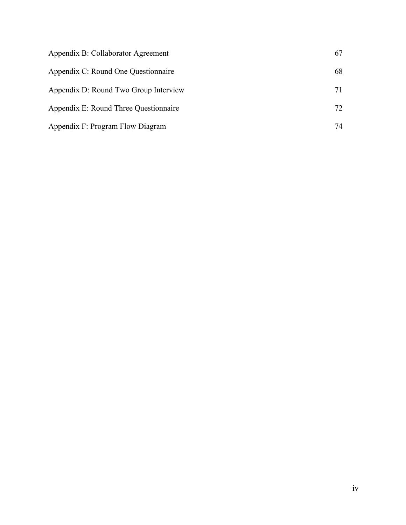| Appendix B: Collaborator Agreement    | 67 |
|---------------------------------------|----|
| Appendix C: Round One Questionnaire   | 68 |
| Appendix D: Round Two Group Interview | 71 |
| Appendix E: Round Three Questionnaire | 72 |
| Appendix F: Program Flow Diagram      | 74 |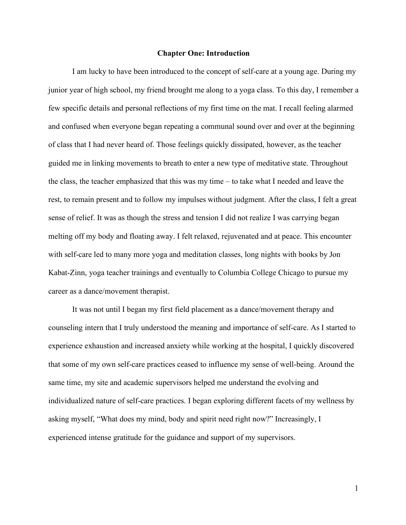#### **Chapter One: Introduction**

I am lucky to have been introduced to the concept of self-care at a young age. During my junior year of high school, my friend brought me along to a yoga class. To this day, I remember a few specific details and personal reflections of my first time on the mat. I recall feeling alarmed and confused when everyone began repeating a communal sound over and over at the beginning of class that I had never heard of. Those feelings quickly dissipated, however, as the teacher guided me in linking movements to breath to enter a new type of meditative state. Throughout the class, the teacher emphasized that this was my time – to take what I needed and leave the rest, to remain present and to follow my impulses without judgment. After the class, I felt a great sense of relief. It was as though the stress and tension I did not realize I was carrying began melting off my body and floating away. I felt relaxed, rejuvenated and at peace. This encounter with self-care led to many more yoga and meditation classes, long nights with books by Jon Kabat-Zinn, yoga teacher trainings and eventually to Columbia College Chicago to pursue my career as a dance/movement therapist.

It was not until I began my first field placement as a dance/movement therapy and counseling intern that I truly understood the meaning and importance of self-care. As I started to experience exhaustion and increased anxiety while working at the hospital, I quickly discovered that some of my own self-care practices ceased to influence my sense of well-being. Around the same time, my site and academic supervisors helped me understand the evolving and individualized nature of self-care practices. I began exploring different facets of my wellness by asking myself, "What does my mind, body and spirit need right now?" Increasingly, I experienced intense gratitude for the guidance and support of my supervisors.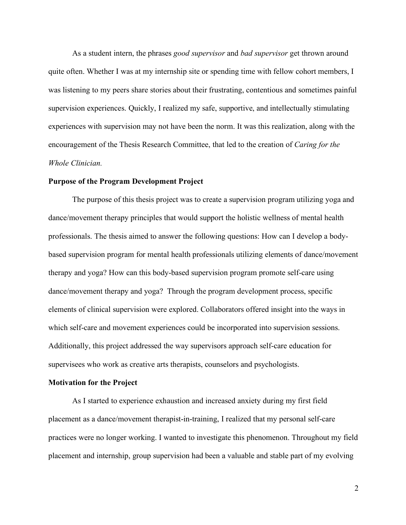As a student intern, the phrases *good supervisor* and *bad supervisor* get thrown around quite often. Whether I was at my internship site or spending time with fellow cohort members, I was listening to my peers share stories about their frustrating, contentious and sometimes painful supervision experiences. Quickly, I realized my safe, supportive, and intellectually stimulating experiences with supervision may not have been the norm. It was this realization, along with the encouragement of the Thesis Research Committee, that led to the creation of *Caring for the Whole Clinician.*

#### **Purpose of the Program Development Project**

The purpose of this thesis project was to create a supervision program utilizing yoga and dance/movement therapy principles that would support the holistic wellness of mental health professionals. The thesis aimed to answer the following questions: How can I develop a bodybased supervision program for mental health professionals utilizing elements of dance/movement therapy and yoga? How can this body-based supervision program promote self-care using dance/movement therapy and yoga? Through the program development process, specific elements of clinical supervision were explored. Collaborators offered insight into the ways in which self-care and movement experiences could be incorporated into supervision sessions. Additionally, this project addressed the way supervisors approach self-care education for supervisees who work as creative arts therapists, counselors and psychologists.

# **Motivation for the Project**

As I started to experience exhaustion and increased anxiety during my first field placement as a dance/movement therapist-in-training, I realized that my personal self-care practices were no longer working. I wanted to investigate this phenomenon. Throughout my field placement and internship, group supervision had been a valuable and stable part of my evolving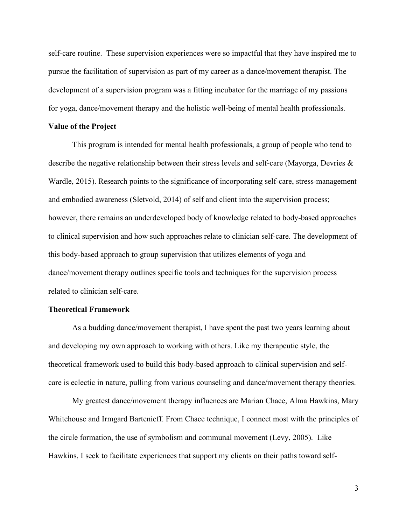self-care routine. These supervision experiences were so impactful that they have inspired me to pursue the facilitation of supervision as part of my career as a dance/movement therapist. The development of a supervision program was a fitting incubator for the marriage of my passions for yoga, dance/movement therapy and the holistic well-being of mental health professionals.

#### **Value of the Project**

This program is intended for mental health professionals, a group of people who tend to describe the negative relationship between their stress levels and self-care (Mayorga, Devries & Wardle, 2015). Research points to the significance of incorporating self-care, stress-management and embodied awareness (Sletvold, 2014) of self and client into the supervision process; however, there remains an underdeveloped body of knowledge related to body-based approaches to clinical supervision and how such approaches relate to clinician self-care. The development of this body-based approach to group supervision that utilizes elements of yoga and dance/movement therapy outlines specific tools and techniques for the supervision process related to clinician self-care.

#### **Theoretical Framework**

As a budding dance/movement therapist, I have spent the past two years learning about and developing my own approach to working with others. Like my therapeutic style, the theoretical framework used to build this body-based approach to clinical supervision and selfcare is eclectic in nature, pulling from various counseling and dance/movement therapy theories.

My greatest dance/movement therapy influences are Marian Chace, Alma Hawkins, Mary Whitehouse and Irmgard Bartenieff. From Chace technique, I connect most with the principles of the circle formation, the use of symbolism and communal movement (Levy, 2005). Like Hawkins, I seek to facilitate experiences that support my clients on their paths toward self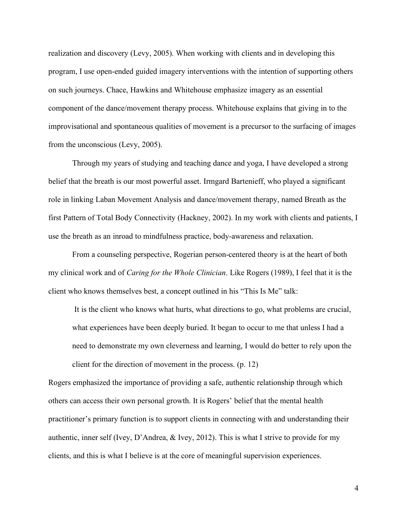realization and discovery (Levy, 2005). When working with clients and in developing this program, I use open-ended guided imagery interventions with the intention of supporting others on such journeys. Chace, Hawkins and Whitehouse emphasize imagery as an essential component of the dance/movement therapy process. Whitehouse explains that giving in to the improvisational and spontaneous qualities of movement is a precursor to the surfacing of images from the unconscious (Levy, 2005).

Through my years of studying and teaching dance and yoga, I have developed a strong belief that the breath is our most powerful asset. Irmgard Bartenieff, who played a significant role in linking Laban Movement Analysis and dance/movement therapy, named Breath as the first Pattern of Total Body Connectivity (Hackney, 2002). In my work with clients and patients, I use the breath as an inroad to mindfulness practice, body-awareness and relaxation.

From a counseling perspective, Rogerian person-centered theory is at the heart of both my clinical work and of *Caring for the Whole Clinician*. Like Rogers (1989), I feel that it is the client who knows themselves best, a concept outlined in his "This Is Me" talk:

It is the client who knows what hurts, what directions to go, what problems are crucial, what experiences have been deeply buried. It began to occur to me that unless I had a need to demonstrate my own cleverness and learning, I would do better to rely upon the client for the direction of movement in the process. (p. 12)

Rogers emphasized the importance of providing a safe, authentic relationship through which others can access their own personal growth. It is Rogers' belief that the mental health practitioner's primary function is to support clients in connecting with and understanding their authentic, inner self (Ivey, D'Andrea, & Ivey, 2012). This is what I strive to provide for my clients, and this is what I believe is at the core of meaningful supervision experiences.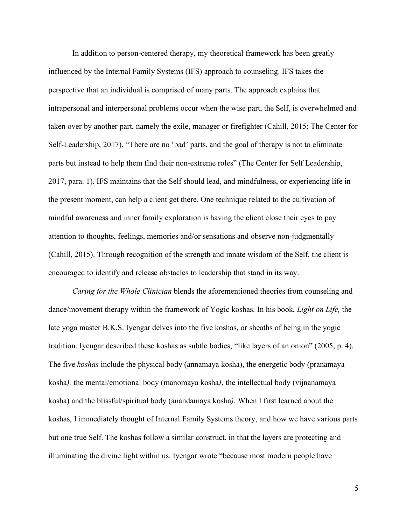In addition to person-centered therapy, my theoretical framework has been greatly influenced by the Internal Family Systems (IFS) approach to counseling. IFS takes the perspective that an individual is comprised of many parts. The approach explains that intrapersonal and interpersonal problems occur when the wise part, the Self, is overwhelmed and taken over by another part, namely the exile, manager or firefighter (Cahill, 2015; The Center for Self-Leadership, 2017). "There are no 'bad' parts, and the goal of therapy is not to eliminate parts but instead to help them find their non-extreme roles" (The Center for Self Leadership, 2017, para. 1). IFS maintains that the Self should lead, and mindfulness, or experiencing life in the present moment, can help a client get there. One technique related to the cultivation of mindful awareness and inner family exploration is having the client close their eyes to pay attention to thoughts, feelings, memories and/or sensations and observe non-judgmentally (Cahill, 2015). Through recognition of the strength and innate wisdom of the Self, the client is encouraged to identify and release obstacles to leadership that stand in its way.

*Caring for the Whole Clinician* blends the aforementioned theories from counseling and dance/movement therapy within the framework of Yogic koshas. In his book, *Light on Life,* the late yoga master B.K.S. Iyengar delves into the five koshas, or sheaths of being in the yogic tradition. Iyengar described these koshas as subtle bodies, "like layers of an onion" (2005, p. 4). The five *koshas* include the physical body (annamaya kosha), the energetic body (pranamaya kosha*),* the mental/emotional body (manomaya kosha*)*, the intellectual body (vijnanamaya kosha) and the blissful/spiritual body (anandamaya kosha*).* When I first learned about the koshas, I immediately thought of Internal Family Systems theory, and how we have various parts but one true Self. The koshas follow a similar construct, in that the layers are protecting and illuminating the divine light within us. Iyengar wrote "because most modern people have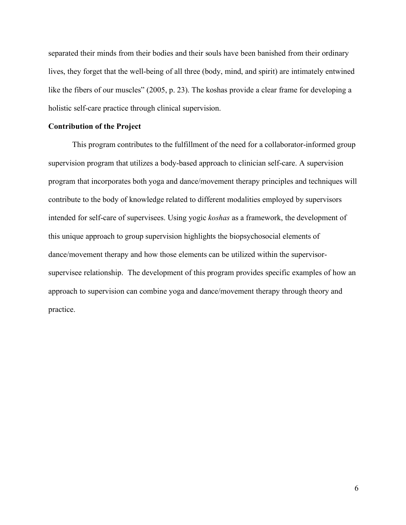separated their minds from their bodies and their souls have been banished from their ordinary lives, they forget that the well-being of all three (body, mind, and spirit) are intimately entwined like the fibers of our muscles" (2005, p. 23). The koshas provide a clear frame for developing a holistic self-care practice through clinical supervision.

#### **Contribution of the Project**

This program contributes to the fulfillment of the need for a collaborator-informed group supervision program that utilizes a body-based approach to clinician self-care. A supervision program that incorporates both yoga and dance/movement therapy principles and techniques will contribute to the body of knowledge related to different modalities employed by supervisors intended for self-care of supervisees. Using yogic *koshas* as a framework, the development of this unique approach to group supervision highlights the biopsychosocial elements of dance/movement therapy and how those elements can be utilized within the supervisorsupervisee relationship. The development of this program provides specific examples of how an approach to supervision can combine yoga and dance/movement therapy through theory and practice.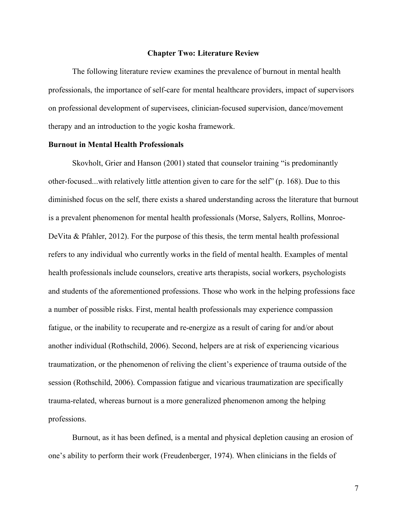#### **Chapter Two: Literature Review**

The following literature review examines the prevalence of burnout in mental health professionals, the importance of self-care for mental healthcare providers, impact of supervisors on professional development of supervisees, clinician-focused supervision, dance/movement therapy and an introduction to the yogic kosha framework.

#### **Burnout in Mental Health Professionals**

Skovholt, Grier and Hanson (2001) stated that counselor training "is predominantly other-focused...with relatively little attention given to care for the self" (p. 168). Due to this diminished focus on the self, there exists a shared understanding across the literature that burnout is a prevalent phenomenon for mental health professionals (Morse, Salyers, Rollins, Monroe-DeVita  $\&$  Pfahler, 2012). For the purpose of this thesis, the term mental health professional refers to any individual who currently works in the field of mental health. Examples of mental health professionals include counselors, creative arts therapists, social workers, psychologists and students of the aforementioned professions. Those who work in the helping professions face a number of possible risks. First, mental health professionals may experience compassion fatigue, or the inability to recuperate and re-energize as a result of caring for and/or about another individual (Rothschild, 2006). Second, helpers are at risk of experiencing vicarious traumatization, or the phenomenon of reliving the client's experience of trauma outside of the session (Rothschild, 2006). Compassion fatigue and vicarious traumatization are specifically trauma-related, whereas burnout is a more generalized phenomenon among the helping professions.

Burnout, as it has been defined, is a mental and physical depletion causing an erosion of one's ability to perform their work (Freudenberger, 1974). When clinicians in the fields of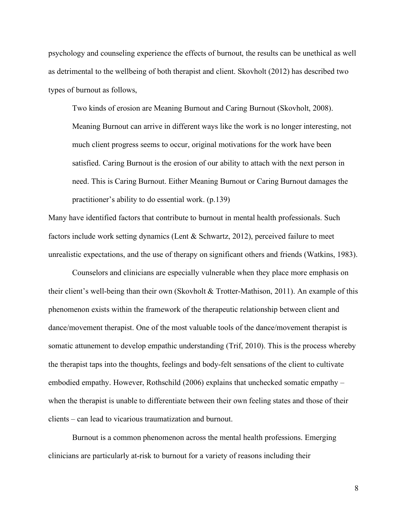psychology and counseling experience the effects of burnout, the results can be unethical as well as detrimental to the wellbeing of both therapist and client. Skovholt (2012) has described two types of burnout as follows,

Two kinds of erosion are Meaning Burnout and Caring Burnout (Skovholt, 2008). Meaning Burnout can arrive in different ways like the work is no longer interesting, not much client progress seems to occur, original motivations for the work have been satisfied. Caring Burnout is the erosion of our ability to attach with the next person in need. This is Caring Burnout. Either Meaning Burnout or Caring Burnout damages the practitioner's ability to do essential work. (p.139)

Many have identified factors that contribute to burnout in mental health professionals. Such factors include work setting dynamics (Lent  $\&$  Schwartz, 2012), perceived failure to meet unrealistic expectations, and the use of therapy on significant others and friends (Watkins, 1983).

Counselors and clinicians are especially vulnerable when they place more emphasis on their client's well-being than their own (Skovholt & Trotter-Mathison, 2011). An example of this phenomenon exists within the framework of the therapeutic relationship between client and dance/movement therapist. One of the most valuable tools of the dance/movement therapist is somatic attunement to develop empathic understanding (Trif, 2010). This is the process whereby the therapist taps into the thoughts, feelings and body-felt sensations of the client to cultivate embodied empathy. However, Rothschild (2006) explains that unchecked somatic empathy – when the therapist is unable to differentiate between their own feeling states and those of their clients – can lead to vicarious traumatization and burnout.

Burnout is a common phenomenon across the mental health professions. Emerging clinicians are particularly at-risk to burnout for a variety of reasons including their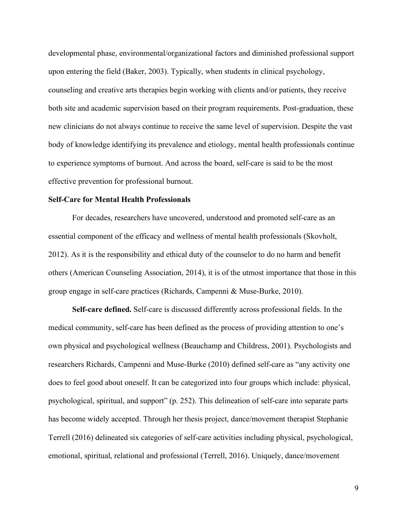developmental phase, environmental/organizational factors and diminished professional support upon entering the field (Baker, 2003). Typically, when students in clinical psychology, counseling and creative arts therapies begin working with clients and/or patients, they receive both site and academic supervision based on their program requirements. Post-graduation, these new clinicians do not always continue to receive the same level of supervision. Despite the vast body of knowledge identifying its prevalence and etiology, mental health professionals continue to experience symptoms of burnout. And across the board, self-care is said to be the most effective prevention for professional burnout.

#### **Self-Care for Mental Health Professionals**

For decades, researchers have uncovered, understood and promoted self-care as an essential component of the efficacy and wellness of mental health professionals (Skovholt, 2012). As it is the responsibility and ethical duty of the counselor to do no harm and benefit others (American Counseling Association, 2014), it is of the utmost importance that those in this group engage in self-care practices (Richards, Campenni & Muse-Burke, 2010).

**Self-care defined.** Self-care is discussed differently across professional fields. In the medical community, self-care has been defined as the process of providing attention to one's own physical and psychological wellness (Beauchamp and Childress, 2001). Psychologists and researchers Richards, Campenni and Muse-Burke (2010) defined self-care as "any activity one does to feel good about oneself. It can be categorized into four groups which include: physical, psychological, spiritual, and support" (p. 252). This delineation of self-care into separate parts has become widely accepted. Through her thesis project, dance/movement therapist Stephanie Terrell (2016) delineated six categories of self-care activities including physical, psychological, emotional, spiritual, relational and professional (Terrell, 2016). Uniquely, dance/movement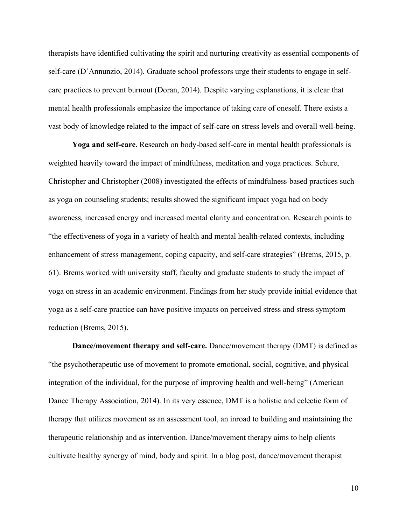therapists have identified cultivating the spirit and nurturing creativity as essential components of self-care (D'Annunzio, 2014). Graduate school professors urge their students to engage in selfcare practices to prevent burnout (Doran, 2014). Despite varying explanations, it is clear that mental health professionals emphasize the importance of taking care of oneself. There exists a vast body of knowledge related to the impact of self-care on stress levels and overall well-being.

**Yoga and self-care.** Research on body-based self-care in mental health professionals is weighted heavily toward the impact of mindfulness, meditation and yoga practices. Schure, Christopher and Christopher (2008) investigated the effects of mindfulness-based practices such as yoga on counseling students; results showed the significant impact yoga had on body awareness, increased energy and increased mental clarity and concentration. Research points to "the effectiveness of yoga in a variety of health and mental health-related contexts, including enhancement of stress management, coping capacity, and self-care strategies" (Brems, 2015, p. 61). Brems worked with university staff, faculty and graduate students to study the impact of yoga on stress in an academic environment. Findings from her study provide initial evidence that yoga as a self-care practice can have positive impacts on perceived stress and stress symptom reduction (Brems, 2015).

**Dance/movement therapy and self-care.** Dance/movement therapy (DMT) is defined as "the psychotherapeutic use of movement to promote emotional, social, cognitive, and physical integration of the individual, for the purpose of improving health and well-being" (American Dance Therapy Association, 2014). In its very essence, DMT is a holistic and eclectic form of therapy that utilizes movement as an assessment tool, an inroad to building and maintaining the therapeutic relationship and as intervention. Dance/movement therapy aims to help clients cultivate healthy synergy of mind, body and spirit. In a blog post, dance/movement therapist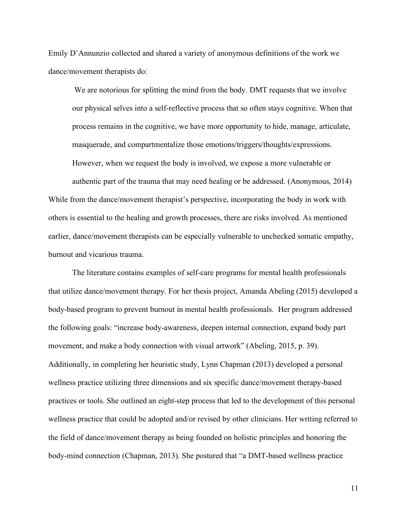Emily D'Annunzio collected and shared a variety of anonymous definitions of the work we dance/movement therapists do:

We are notorious for splitting the mind from the body. DMT requests that we involve our physical selves into a self-reflective process that so often stays cognitive. When that process remains in the cognitive, we have more opportunity to hide, manage, articulate, masquerade, and compartmentalize those emotions/triggers/thoughts/expressions. However, when we request the body is involved, we expose a more vulnerable or authentic part of the trauma that may need healing or be addressed. (Anonymous, 2014)

While from the dance/movement therapist's perspective, incorporating the body in work with others is essential to the healing and growth processes, there are risks involved. As mentioned earlier, dance/movement therapists can be especially vulnerable to unchecked somatic empathy, burnout and vicarious trauma.

The literature contains examples of self-care programs for mental health professionals that utilize dance/movement therapy. For her thesis project, Amanda Abeling (2015) developed a body-based program to prevent burnout in mental health professionals. Her program addressed the following goals: "increase body-awareness, deepen internal connection, expand body part movement, and make a body connection with visual artwork" (Abeling, 2015, p. 39). Additionally, in completing her heuristic study, Lynn Chapman (2013) developed a personal wellness practice utilizing three dimensions and six specific dance/movement therapy-based practices or tools. She outlined an eight-step process that led to the development of this personal wellness practice that could be adopted and/or revised by other clinicians. Her writing referred to the field of dance/movement therapy as being founded on holistic principles and honoring the body-mind connection (Chapman, 2013). She postured that "a DMT-based wellness practice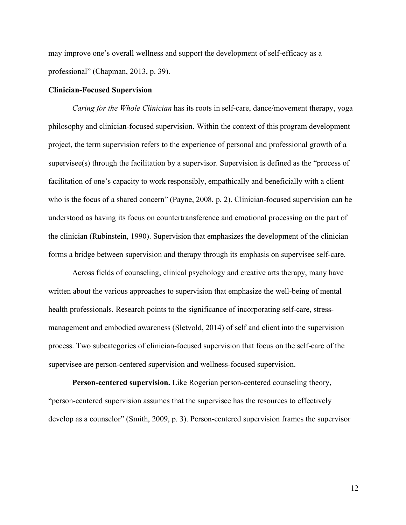may improve one's overall wellness and support the development of self-efficacy as a professional" (Chapman, 2013, p. 39).

#### **Clinician-Focused Supervision**

*Caring for the Whole Clinician* has its roots in self-care, dance/movement therapy, yoga philosophy and clinician-focused supervision. Within the context of this program development project, the term supervision refers to the experience of personal and professional growth of a supervisee(s) through the facilitation by a supervisor. Supervision is defined as the "process of facilitation of one's capacity to work responsibly, empathically and beneficially with a client who is the focus of a shared concern" (Payne, 2008, p. 2). Clinician-focused supervision can be understood as having its focus on countertransference and emotional processing on the part of the clinician (Rubinstein, 1990). Supervision that emphasizes the development of the clinician forms a bridge between supervision and therapy through its emphasis on supervisee self-care.

Across fields of counseling, clinical psychology and creative arts therapy, many have written about the various approaches to supervision that emphasize the well-being of mental health professionals. Research points to the significance of incorporating self-care, stressmanagement and embodied awareness (Sletvold, 2014) of self and client into the supervision process. Two subcategories of clinician-focused supervision that focus on the self-care of the supervisee are person-centered supervision and wellness-focused supervision.

**Person-centered supervision.** Like Rogerian person-centered counseling theory, "person-centered supervision assumes that the supervisee has the resources to effectively develop as a counselor" (Smith, 2009, p. 3). Person-centered supervision frames the supervisor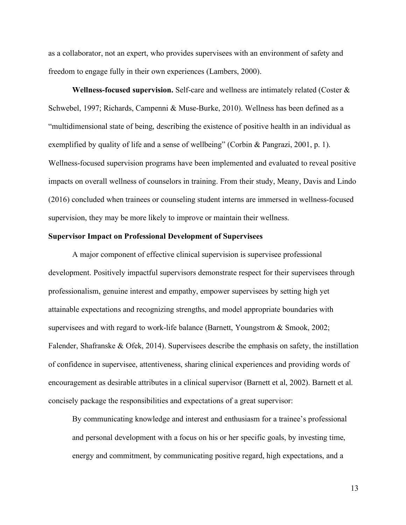as a collaborator, not an expert, who provides supervisees with an environment of safety and freedom to engage fully in their own experiences (Lambers, 2000).

**Wellness-focused supervision.** Self-care and wellness are intimately related (Coster & Schwebel, 1997; Richards, Campenni & Muse-Burke, 2010). Wellness has been defined as a "multidimensional state of being, describing the existence of positive health in an individual as exemplified by quality of life and a sense of wellbeing" (Corbin & Pangrazi, 2001, p. 1). Wellness-focused supervision programs have been implemented and evaluated to reveal positive impacts on overall wellness of counselors in training. From their study, Meany, Davis and Lindo (2016) concluded when trainees or counseling student interns are immersed in wellness-focused supervision, they may be more likely to improve or maintain their wellness.

#### **Supervisor Impact on Professional Development of Supervisees**

A major component of effective clinical supervision is supervisee professional development. Positively impactful supervisors demonstrate respect for their supervisees through professionalism, genuine interest and empathy, empower supervisees by setting high yet attainable expectations and recognizing strengths, and model appropriate boundaries with supervisees and with regard to work-life balance (Barnett, Youngstrom & Smook, 2002; Falender, Shafranske & Ofek, 2014). Supervisees describe the emphasis on safety, the instillation of confidence in supervisee, attentiveness, sharing clinical experiences and providing words of encouragement as desirable attributes in a clinical supervisor (Barnett et al, 2002). Barnett et al. concisely package the responsibilities and expectations of a great supervisor:

By communicating knowledge and interest and enthusiasm for a trainee's professional and personal development with a focus on his or her specific goals, by investing time, energy and commitment, by communicating positive regard, high expectations, and a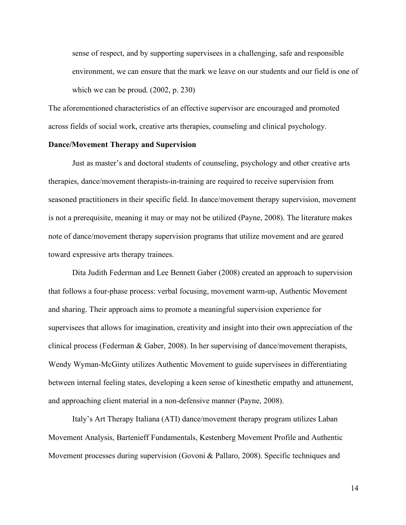sense of respect, and by supporting supervisees in a challenging, safe and responsible environment, we can ensure that the mark we leave on our students and our field is one of which we can be proud. (2002, p. 230)

The aforementioned characteristics of an effective supervisor are encouraged and promoted across fields of social work, creative arts therapies, counseling and clinical psychology.

### **Dance/Movement Therapy and Supervision**

Just as master's and doctoral students of counseling, psychology and other creative arts therapies, dance/movement therapists-in-training are required to receive supervision from seasoned practitioners in their specific field. In dance/movement therapy supervision, movement is not a prerequisite, meaning it may or may not be utilized (Payne, 2008). The literature makes note of dance/movement therapy supervision programs that utilize movement and are geared toward expressive arts therapy trainees.

Dita Judith Federman and Lee Bennett Gaber (2008) created an approach to supervision that follows a four-phase process: verbal focusing, movement warm-up, Authentic Movement and sharing. Their approach aims to promote a meaningful supervision experience for supervisees that allows for imagination, creativity and insight into their own appreciation of the clinical process (Federman & Gaber, 2008). In her supervising of dance/movement therapists, Wendy Wyman-McGinty utilizes Authentic Movement to guide supervisees in differentiating between internal feeling states, developing a keen sense of kinesthetic empathy and attunement, and approaching client material in a non-defensive manner (Payne, 2008).

Italy's Art Therapy Italiana (ATI) dance/movement therapy program utilizes Laban Movement Analysis, Bartenieff Fundamentals, Kestenberg Movement Profile and Authentic Movement processes during supervision (Govoni & Pallaro, 2008). Specific techniques and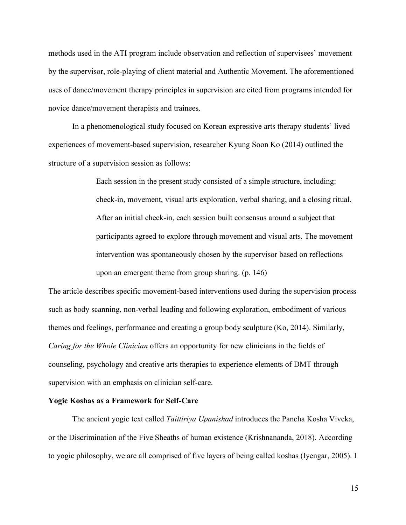methods used in the ATI program include observation and reflection of supervisees' movement by the supervisor, role-playing of client material and Authentic Movement. The aforementioned uses of dance/movement therapy principles in supervision are cited from programs intended for novice dance/movement therapists and trainees.

In a phenomenological study focused on Korean expressive arts therapy students' lived experiences of movement-based supervision, researcher Kyung Soon Ko (2014) outlined the structure of a supervision session as follows:

> Each session in the present study consisted of a simple structure, including: check-in, movement, visual arts exploration, verbal sharing, and a closing ritual. After an initial check-in, each session built consensus around a subject that participants agreed to explore through movement and visual arts. The movement intervention was spontaneously chosen by the supervisor based on reflections upon an emergent theme from group sharing. (p. 146)

The article describes specific movement-based interventions used during the supervision process such as body scanning, non-verbal leading and following exploration, embodiment of various themes and feelings, performance and creating a group body sculpture (Ko, 2014). Similarly, *Caring for the Whole Clinician* offers an opportunity for new clinicians in the fields of counseling, psychology and creative arts therapies to experience elements of DMT through supervision with an emphasis on clinician self-care.

#### **Yogic Koshas as a Framework for Self-Care**

The ancient yogic text called *Taittiriya Upanishad* introduces the Pancha Kosha Viveka, or the Discrimination of the Five Sheaths of human existence (Krishnananda, 2018). According to yogic philosophy, we are all comprised of five layers of being called koshas (Iyengar, 2005). I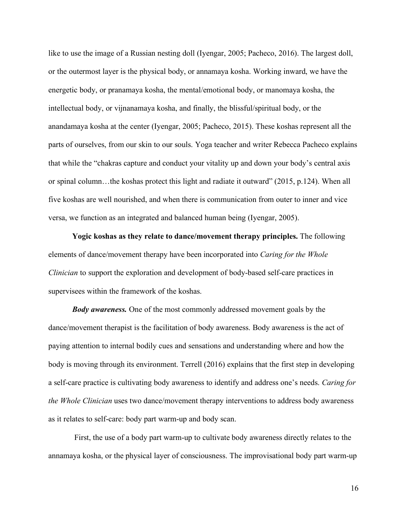like to use the image of a Russian nesting doll (Iyengar, 2005; Pacheco, 2016). The largest doll, or the outermost layer is the physical body, or annamaya kosha. Working inward, we have the energetic body, or pranamaya kosha, the mental/emotional body, or manomaya kosha, the intellectual body, or vijnanamaya kosha, and finally, the blissful/spiritual body, or the anandamaya kosha at the center (Iyengar, 2005; Pacheco, 2015). These koshas represent all the parts of ourselves, from our skin to our souls. Yoga teacher and writer Rebecca Pacheco explains that while the "chakras capture and conduct your vitality up and down your body's central axis or spinal column…the koshas protect this light and radiate it outward" (2015, p.124). When all five koshas are well nourished, and when there is communication from outer to inner and vice versa, we function as an integrated and balanced human being (Iyengar, 2005).

**Yogic koshas as they relate to dance/movement therapy principles.** The following elements of dance/movement therapy have been incorporated into *Caring for the Whole Clinician* to support the exploration and development of body-based self-care practices in supervisees within the framework of the koshas.

*Body awareness.* One of the most commonly addressed movement goals by the dance/movement therapist is the facilitation of body awareness. Body awareness is the act of paying attention to internal bodily cues and sensations and understanding where and how the body is moving through its environment. Terrell (2016) explains that the first step in developing a self-care practice is cultivating body awareness to identify and address one's needs. *Caring for the Whole Clinician* uses two dance/movement therapy interventions to address body awareness as it relates to self-care: body part warm-up and body scan.

First, the use of a body part warm-up to cultivate body awareness directly relates to the annamaya kosha, or the physical layer of consciousness. The improvisational body part warm-up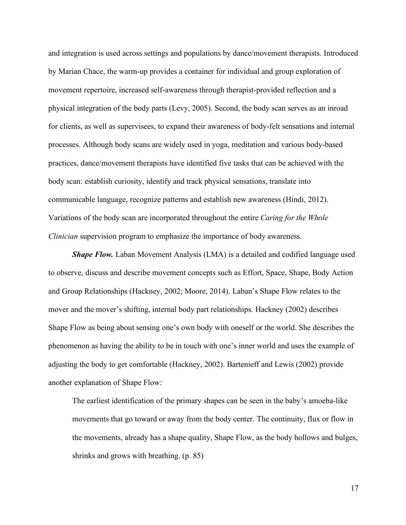and integration is used across settings and populations by dance/movement therapists. Introduced by Marian Chace, the warm-up provides a container for individual and group exploration of movement repertoire, increased self-awareness through therapist-provided reflection and a physical integration of the body parts (Levy, 2005). Second, the body scan serves as an inroad for clients, as well as supervisees, to expand their awareness of body-felt sensations and internal processes. Although body scans are widely used in yoga, meditation and various body-based practices, dance/movement therapists have identified five tasks that can be achieved with the body scan: establish curiosity, identify and track physical sensations, translate into communicable language, recognize patterns and establish new awareness (Hindi, 2012). Variations of the body scan are incorporated throughout the entire *Caring for the Whole Clinician* supervision program to emphasize the importance of body awareness.

*Shape Flow.* Laban Movement Analysis (LMA) is a detailed and codified language used to observe, discuss and describe movement concepts such as Effort, Space, Shape, Body Action and Group Relationships (Hackney, 2002; Moore, 2014). Laban's Shape Flow relates to the mover and the mover's shifting, internal body part relationships. Hackney (2002) describes Shape Flow as being about sensing one's own body with oneself or the world. She describes the phenomenon as having the ability to be in touch with one's inner world and uses the example of adjusting the body to get comfortable (Hackney, 2002). Bartenieff and Lewis (2002) provide another explanation of Shape Flow:

The earliest identification of the primary shapes can be seen in the baby's amoeba-like movements that go toward or away from the body center. The continuity, flux or flow in the movements, already has a shape quality, Shape Flow, as the body hollows and bulges, shrinks and grows with breathing. (p. 85)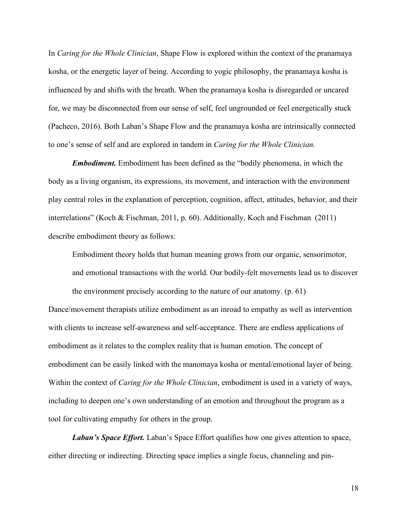In *Caring for the Whole Clinician*, Shape Flow is explored within the context of the pranamaya kosha, or the energetic layer of being. According to yogic philosophy, the pranamaya kosha is influenced by and shifts with the breath. When the pranamaya kosha is disregarded or uncared for, we may be disconnected from our sense of self, feel ungrounded or feel energetically stuck (Pacheco, 2016). Both Laban's Shape Flow and the pranamaya kosha are intrinsically connected to one's sense of self and are explored in tandem in *Caring for the Whole Clinician.*

*Embodiment.* Embodiment has been defined as the "bodily phenomena, in which the body as a living organism, its expressions, its movement, and interaction with the environment play central roles in the explanation of perception, cognition, affect, attitudes, behavior, and their interrelations" (Koch & Fischman, 2011, p. 60). Additionally, Koch and Fischman (2011) describe embodiment theory as follows:

Embodiment theory holds that human meaning grows from our organic, sensorimotor, and emotional transactions with the world. Our bodily-felt movements lead us to discover

Dance/movement therapists utilize embodiment as an inroad to empathy as well as intervention with clients to increase self-awareness and self-acceptance. There are endless applications of embodiment as it relates to the complex reality that is human emotion. The concept of embodiment can be easily linked with the manomaya kosha or mental/emotional layer of being. Within the context of *Caring for the Whole Clinician*, embodiment is used in a variety of ways, including to deepen one's own understanding of an emotion and throughout the program as a tool for cultivating empathy for others in the group.

the environment precisely according to the nature of our anatomy. (p. 61)

*Laban's Space Effort.* Laban's Space Effort qualifies how one gives attention to space, either directing or indirecting. Directing space implies a single focus, channeling and pin-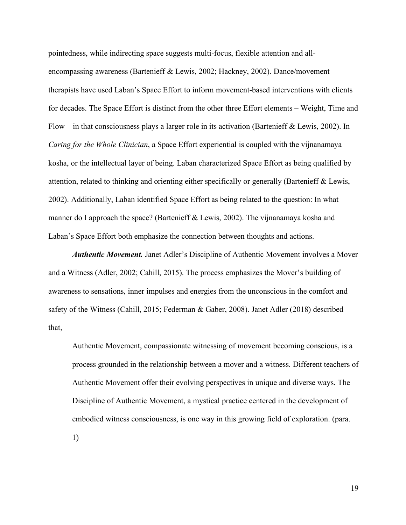pointedness, while indirecting space suggests multi-focus, flexible attention and allencompassing awareness (Bartenieff & Lewis, 2002; Hackney, 2002). Dance/movement therapists have used Laban's Space Effort to inform movement-based interventions with clients for decades. The Space Effort is distinct from the other three Effort elements – Weight, Time and Flow – in that consciousness plays a larger role in its activation (Bartenieff & Lewis, 2002). In *Caring for the Whole Clinician*, a Space Effort experiential is coupled with the vijnanamaya kosha, or the intellectual layer of being. Laban characterized Space Effort as being qualified by attention, related to thinking and orienting either specifically or generally (Bartenieff & Lewis, 2002). Additionally, Laban identified Space Effort as being related to the question: In what manner do I approach the space? (Bartenieff & Lewis, 2002). The vijnanamaya kosha and Laban's Space Effort both emphasize the connection between thoughts and actions.

*Authentic Movement.* Janet Adler's Discipline of Authentic Movement involves a Mover and a Witness (Adler, 2002; Cahill, 2015). The process emphasizes the Mover's building of awareness to sensations, inner impulses and energies from the unconscious in the comfort and safety of the Witness (Cahill, 2015; Federman & Gaber, 2008). Janet Adler (2018) described that,

Authentic Movement, compassionate witnessing of movement becoming conscious, is a process grounded in the relationship between a mover and a witness. Different teachers of Authentic Movement offer their evolving perspectives in unique and diverse ways. The Discipline of Authentic Movement, a mystical practice centered in the development of embodied witness consciousness, is one way in this growing field of exploration. (para.

1)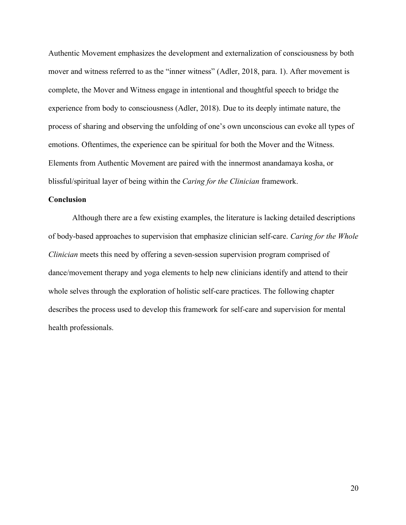Authentic Movement emphasizes the development and externalization of consciousness by both mover and witness referred to as the "inner witness" (Adler, 2018, para. 1). After movement is complete, the Mover and Witness engage in intentional and thoughtful speech to bridge the experience from body to consciousness (Adler, 2018). Due to its deeply intimate nature, the process of sharing and observing the unfolding of one's own unconscious can evoke all types of emotions. Oftentimes, the experience can be spiritual for both the Mover and the Witness. Elements from Authentic Movement are paired with the innermost anandamaya kosha, or blissful/spiritual layer of being within the *Caring for the Clinician* framework.

#### **Conclusion**

Although there are a few existing examples, the literature is lacking detailed descriptions of body-based approaches to supervision that emphasize clinician self-care. *Caring for the Whole Clinician* meets this need by offering a seven-session supervision program comprised of dance/movement therapy and yoga elements to help new clinicians identify and attend to their whole selves through the exploration of holistic self-care practices. The following chapter describes the process used to develop this framework for self-care and supervision for mental health professionals.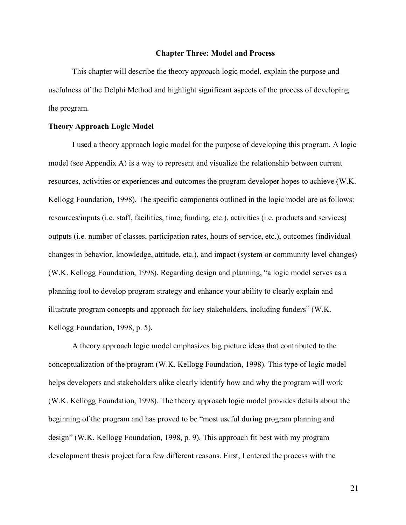#### **Chapter Three: Model and Process**

This chapter will describe the theory approach logic model, explain the purpose and usefulness of the Delphi Method and highlight significant aspects of the process of developing the program.

### **Theory Approach Logic Model**

I used a theory approach logic model for the purpose of developing this program. A logic model (see Appendix A) is a way to represent and visualize the relationship between current resources, activities or experiences and outcomes the program developer hopes to achieve (W.K. Kellogg Foundation, 1998). The specific components outlined in the logic model are as follows: resources/inputs (i.e. staff, facilities, time, funding, etc.), activities (i.e. products and services) outputs (i.e. number of classes, participation rates, hours of service, etc.), outcomes (individual changes in behavior, knowledge, attitude, etc.), and impact (system or community level changes) (W.K. Kellogg Foundation, 1998). Regarding design and planning, "a logic model serves as a planning tool to develop program strategy and enhance your ability to clearly explain and illustrate program concepts and approach for key stakeholders, including funders" (W.K. Kellogg Foundation, 1998, p. 5).

A theory approach logic model emphasizes big picture ideas that contributed to the conceptualization of the program (W.K. Kellogg Foundation, 1998). This type of logic model helps developers and stakeholders alike clearly identify how and why the program will work (W.K. Kellogg Foundation, 1998). The theory approach logic model provides details about the beginning of the program and has proved to be "most useful during program planning and design" (W.K. Kellogg Foundation, 1998, p. 9). This approach fit best with my program development thesis project for a few different reasons. First, I entered the process with the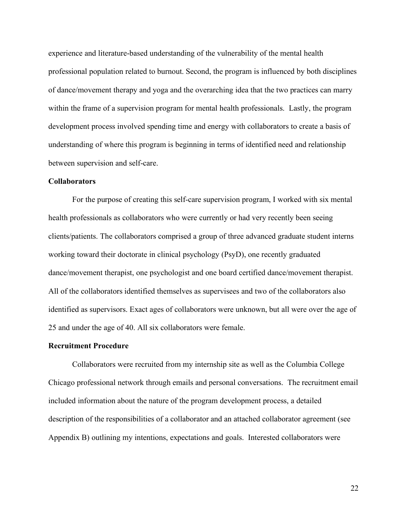experience and literature-based understanding of the vulnerability of the mental health professional population related to burnout. Second, the program is influenced by both disciplines of dance/movement therapy and yoga and the overarching idea that the two practices can marry within the frame of a supervision program for mental health professionals. Lastly, the program development process involved spending time and energy with collaborators to create a basis of understanding of where this program is beginning in terms of identified need and relationship between supervision and self-care.

#### **Collaborators**

For the purpose of creating this self-care supervision program, I worked with six mental health professionals as collaborators who were currently or had very recently been seeing clients/patients. The collaborators comprised a group of three advanced graduate student interns working toward their doctorate in clinical psychology (PsyD), one recently graduated dance/movement therapist, one psychologist and one board certified dance/movement therapist. All of the collaborators identified themselves as supervisees and two of the collaborators also identified as supervisors. Exact ages of collaborators were unknown, but all were over the age of 25 and under the age of 40. All six collaborators were female.

#### **Recruitment Procedure**

Collaborators were recruited from my internship site as well as the Columbia College Chicago professional network through emails and personal conversations. The recruitment email included information about the nature of the program development process, a detailed description of the responsibilities of a collaborator and an attached collaborator agreement (see Appendix B) outlining my intentions, expectations and goals. Interested collaborators were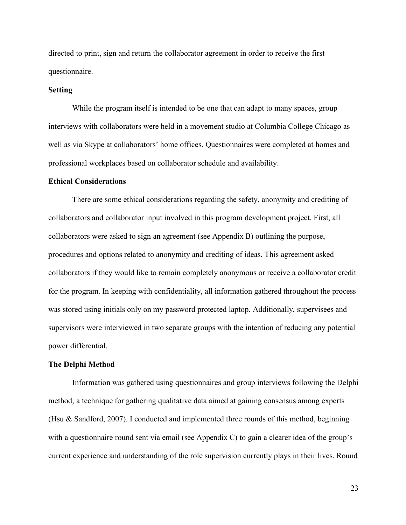directed to print, sign and return the collaborator agreement in order to receive the first questionnaire.

#### **Setting**

While the program itself is intended to be one that can adapt to many spaces, group interviews with collaborators were held in a movement studio at Columbia College Chicago as well as via Skype at collaborators' home offices. Questionnaires were completed at homes and professional workplaces based on collaborator schedule and availability.

#### **Ethical Considerations**

There are some ethical considerations regarding the safety, anonymity and crediting of collaborators and collaborator input involved in this program development project. First, all collaborators were asked to sign an agreement (see Appendix B) outlining the purpose, procedures and options related to anonymity and crediting of ideas. This agreement asked collaborators if they would like to remain completely anonymous or receive a collaborator credit for the program. In keeping with confidentiality, all information gathered throughout the process was stored using initials only on my password protected laptop. Additionally, supervisees and supervisors were interviewed in two separate groups with the intention of reducing any potential power differential.

#### **The Delphi Method**

Information was gathered using questionnaires and group interviews following the Delphi method, a technique for gathering qualitative data aimed at gaining consensus among experts (Hsu & Sandford, 2007). I conducted and implemented three rounds of this method, beginning with a questionnaire round sent via email (see Appendix C) to gain a clearer idea of the group's current experience and understanding of the role supervision currently plays in their lives. Round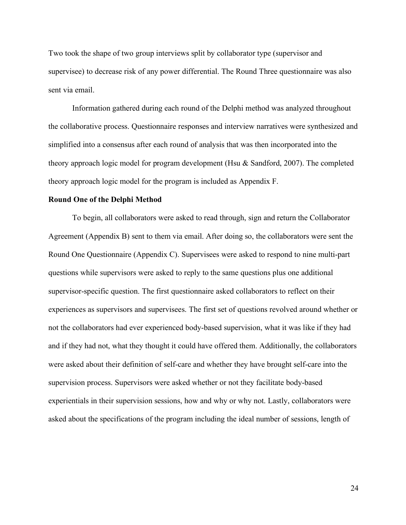Two took the shape of two group interviews split by collaborator type (supervisor and supervisee) to decrease risk of any power differential. The Round Three questionnaire was also sent via email.

Information gathered during each round of the Delphi method was analyzed throughout the collaborative process. Questionnaire responses and interview narratives were synthesized and simplified into a consensus after each round of analysis that was then incorporated into the theory approach logic model for program development (Hsu & Sandford, 2007). The completed theory approach logic model for the program is included as Appendix F.

#### **Round One of the Delphi Method**

To begin, all collaborators were asked to read through, sign and return the Collaborator Agreement (Appendix B) sent to them via email. After doing so, the collaborators were sent the Round One Questionnaire (Appendix C). Supervisees were asked to respond to nine multi-part questions while supervisors were asked to reply to the same questions plus one additional supervisor-specific question. The first questionnaire asked collaborators to reflect on their experiences as supervisors and supervisees. The first set of questions revolved around whether or not the collaborators had ever experienced body-based supervision, what it was like if they had and if they had not, what they thought it could have offered them. Additionally, the collaborators were asked about their definition of self-care and whether they have brought self-care into the supervision process. Supervisors were asked whether or not they facilitate body-based experientials in their supervision sessions, how and why or why not. Lastly, collaborators were asked about the specifications of the program including the ideal number of sessions, length of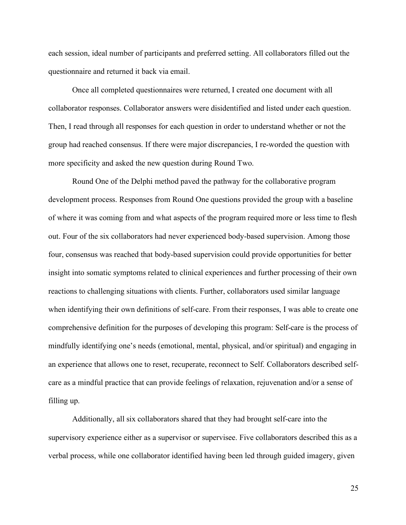each session, ideal number of participants and preferred setting. All collaborators filled out the questionnaire and returned it back via email.

Once all completed questionnaires were returned, I created one document with all collaborator responses. Collaborator answers were disidentified and listed under each question. Then, I read through all responses for each question in order to understand whether or not the group had reached consensus. If there were major discrepancies, I re-worded the question with more specificity and asked the new question during Round Two.

Round One of the Delphi method paved the pathway for the collaborative program development process. Responses from Round One questions provided the group with a baseline of where it was coming from and what aspects of the program required more or less time to flesh out. Four of the six collaborators had never experienced body-based supervision. Among those four, consensus was reached that body-based supervision could provide opportunities for better insight into somatic symptoms related to clinical experiences and further processing of their own reactions to challenging situations with clients. Further, collaborators used similar language when identifying their own definitions of self-care. From their responses, I was able to create one comprehensive definition for the purposes of developing this program: Self-care is the process of mindfully identifying one's needs (emotional, mental, physical, and/or spiritual) and engaging in an experience that allows one to reset, recuperate, reconnect to Self. Collaborators described selfcare as a mindful practice that can provide feelings of relaxation, rejuvenation and/or a sense of filling up.

Additionally, all six collaborators shared that they had brought self-care into the supervisory experience either as a supervisor or supervisee. Five collaborators described this as a verbal process, while one collaborator identified having been led through guided imagery, given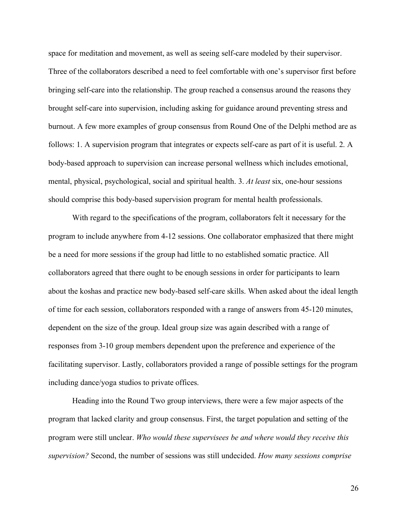space for meditation and movement, as well as seeing self-care modeled by their supervisor. Three of the collaborators described a need to feel comfortable with one's supervisor first before bringing self-care into the relationship. The group reached a consensus around the reasons they brought self-care into supervision, including asking for guidance around preventing stress and burnout. A few more examples of group consensus from Round One of the Delphi method are as follows: 1. A supervision program that integrates or expects self-care as part of it is useful. 2. A body-based approach to supervision can increase personal wellness which includes emotional, mental, physical, psychological, social and spiritual health. 3. *At least* six, one-hour sessions should comprise this body-based supervision program for mental health professionals.

With regard to the specifications of the program, collaborators felt it necessary for the program to include anywhere from 4-12 sessions. One collaborator emphasized that there might be a need for more sessions if the group had little to no established somatic practice. All collaborators agreed that there ought to be enough sessions in order for participants to learn about the koshas and practice new body-based self-care skills. When asked about the ideal length of time for each session, collaborators responded with a range of answers from 45-120 minutes, dependent on the size of the group. Ideal group size was again described with a range of responses from 3-10 group members dependent upon the preference and experience of the facilitating supervisor. Lastly, collaborators provided a range of possible settings for the program including dance/yoga studios to private offices.

Heading into the Round Two group interviews, there were a few major aspects of the program that lacked clarity and group consensus. First, the target population and setting of the program were still unclear. *Who would these supervisees be and where would they receive this supervision?* Second, the number of sessions was still undecided. *How many sessions comprise*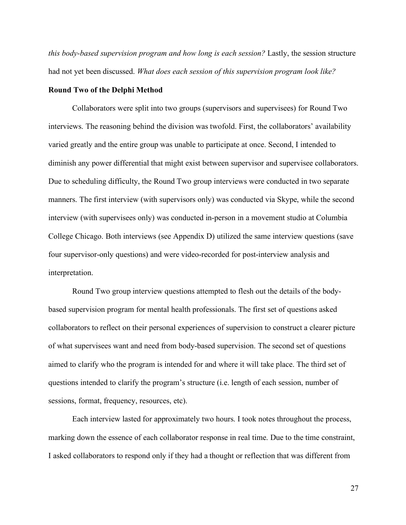*this body-based supervision program and how long is each session?* Lastly, the session structure had not yet been discussed. *What does each session of this supervision program look like?*

#### **Round Two of the Delphi Method**

Collaborators were split into two groups (supervisors and supervisees) for Round Two interviews. The reasoning behind the division was twofold. First, the collaborators' availability varied greatly and the entire group was unable to participate at once. Second, I intended to diminish any power differential that might exist between supervisor and supervisee collaborators. Due to scheduling difficulty, the Round Two group interviews were conducted in two separate manners. The first interview (with supervisors only) was conducted via Skype, while the second interview (with supervisees only) was conducted in-person in a movement studio at Columbia College Chicago. Both interviews (see Appendix D) utilized the same interview questions (save four supervisor-only questions) and were video-recorded for post-interview analysis and interpretation.

Round Two group interview questions attempted to flesh out the details of the bodybased supervision program for mental health professionals. The first set of questions asked collaborators to reflect on their personal experiences of supervision to construct a clearer picture of what supervisees want and need from body-based supervision. The second set of questions aimed to clarify who the program is intended for and where it will take place. The third set of questions intended to clarify the program's structure (i.e. length of each session, number of sessions, format, frequency, resources, etc).

Each interview lasted for approximately two hours. I took notes throughout the process, marking down the essence of each collaborator response in real time. Due to the time constraint, I asked collaborators to respond only if they had a thought or reflection that was different from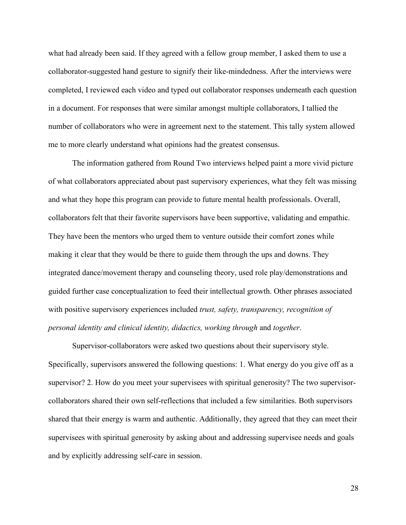what had already been said. If they agreed with a fellow group member, I asked them to use a collaborator-suggested hand gesture to signify their like-mindedness. After the interviews were completed, I reviewed each video and typed out collaborator responses underneath each question in a document. For responses that were similar amongst multiple collaborators, I tallied the number of collaborators who were in agreement next to the statement. This tally system allowed me to more clearly understand what opinions had the greatest consensus.

The information gathered from Round Two interviews helped paint a more vivid picture of what collaborators appreciated about past supervisory experiences, what they felt was missing and what they hope this program can provide to future mental health professionals. Overall, collaborators felt that their favorite supervisors have been supportive, validating and empathic. They have been the mentors who urged them to venture outside their comfort zones while making it clear that they would be there to guide them through the ups and downs. They integrated dance/movement therapy and counseling theory, used role play/demonstrations and guided further case conceptualization to feed their intellectual growth. Other phrases associated with positive supervisory experiences included *trust, safety, transparency, recognition of personal identity and clinical identity, didactics, working through* and *together*.

Supervisor-collaborators were asked two questions about their supervisory style. Specifically, supervisors answered the following questions: 1. What energy do you give off as a supervisor? 2. How do you meet your supervisees with spiritual generosity? The two supervisorcollaborators shared their own self-reflections that included a few similarities. Both supervisors shared that their energy is warm and authentic. Additionally, they agreed that they can meet their supervisees with spiritual generosity by asking about and addressing supervisee needs and goals and by explicitly addressing self-care in session.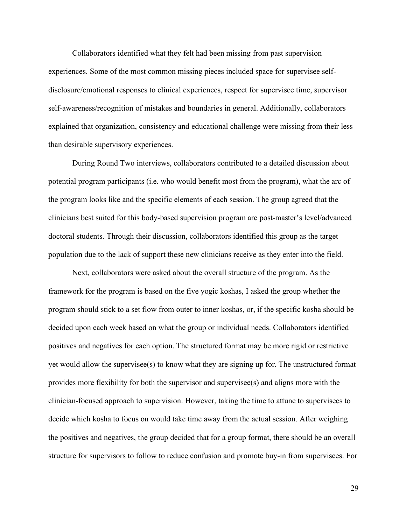Collaborators identified what they felt had been missing from past supervision experiences. Some of the most common missing pieces included space for supervisee selfdisclosure/emotional responses to clinical experiences, respect for supervisee time, supervisor self-awareness/recognition of mistakes and boundaries in general. Additionally, collaborators explained that organization, consistency and educational challenge were missing from their less than desirable supervisory experiences.

During Round Two interviews, collaborators contributed to a detailed discussion about potential program participants (i.e. who would benefit most from the program), what the arc of the program looks like and the specific elements of each session. The group agreed that the clinicians best suited for this body-based supervision program are post-master's level/advanced doctoral students. Through their discussion, collaborators identified this group as the target population due to the lack of support these new clinicians receive as they enter into the field.

Next, collaborators were asked about the overall structure of the program. As the framework for the program is based on the five yogic koshas, I asked the group whether the program should stick to a set flow from outer to inner koshas, or, if the specific kosha should be decided upon each week based on what the group or individual needs. Collaborators identified positives and negatives for each option. The structured format may be more rigid or restrictive yet would allow the supervisee(s) to know what they are signing up for. The unstructured format provides more flexibility for both the supervisor and supervisee(s) and aligns more with the clinician-focused approach to supervision. However, taking the time to attune to supervisees to decide which kosha to focus on would take time away from the actual session. After weighing the positives and negatives, the group decided that for a group format, there should be an overall structure for supervisors to follow to reduce confusion and promote buy-in from supervisees. For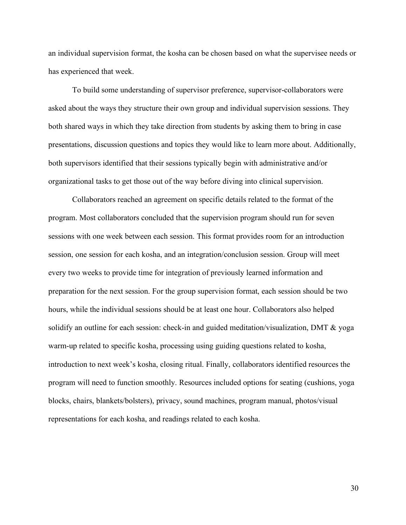an individual supervision format, the kosha can be chosen based on what the supervisee needs or has experienced that week.

To build some understanding of supervisor preference, supervisor-collaborators were asked about the ways they structure their own group and individual supervision sessions. They both shared ways in which they take direction from students by asking them to bring in case presentations, discussion questions and topics they would like to learn more about. Additionally, both supervisors identified that their sessions typically begin with administrative and/or organizational tasks to get those out of the way before diving into clinical supervision.

Collaborators reached an agreement on specific details related to the format of the program. Most collaborators concluded that the supervision program should run for seven sessions with one week between each session. This format provides room for an introduction session, one session for each kosha, and an integration/conclusion session. Group will meet every two weeks to provide time for integration of previously learned information and preparation for the next session. For the group supervision format, each session should be two hours, while the individual sessions should be at least one hour. Collaborators also helped solidify an outline for each session: check-in and guided meditation/visualization, DMT & yoga warm-up related to specific kosha, processing using guiding questions related to kosha, introduction to next week's kosha, closing ritual. Finally, collaborators identified resources the program will need to function smoothly. Resources included options for seating (cushions, yoga blocks, chairs, blankets/bolsters), privacy, sound machines, program manual, photos/visual representations for each kosha, and readings related to each kosha.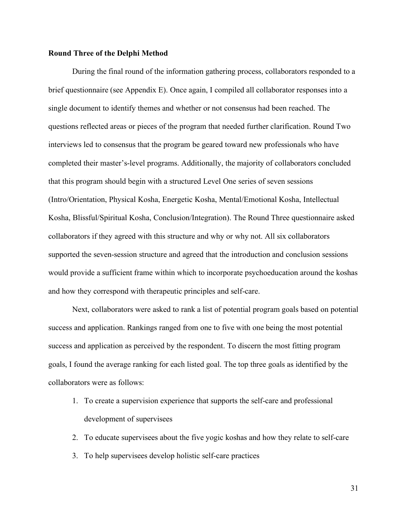#### **Round Three of the Delphi Method**

During the final round of the information gathering process, collaborators responded to a brief questionnaire (see Appendix E). Once again, I compiled all collaborator responses into a single document to identify themes and whether or not consensus had been reached. The questions reflected areas or pieces of the program that needed further clarification. Round Two interviews led to consensus that the program be geared toward new professionals who have completed their master's-level programs. Additionally, the majority of collaborators concluded that this program should begin with a structured Level One series of seven sessions (Intro/Orientation, Physical Kosha, Energetic Kosha, Mental/Emotional Kosha, Intellectual Kosha, Blissful/Spiritual Kosha, Conclusion/Integration). The Round Three questionnaire asked collaborators if they agreed with this structure and why or why not. All six collaborators supported the seven-session structure and agreed that the introduction and conclusion sessions would provide a sufficient frame within which to incorporate psychoeducation around the koshas and how they correspond with therapeutic principles and self-care.

Next, collaborators were asked to rank a list of potential program goals based on potential success and application. Rankings ranged from one to five with one being the most potential success and application as perceived by the respondent. To discern the most fitting program goals, I found the average ranking for each listed goal. The top three goals as identified by the collaborators were as follows:

- 1. To create a supervision experience that supports the self-care and professional development of supervisees
- 2. To educate supervisees about the five yogic koshas and how they relate to self-care
- 3. To help supervisees develop holistic self-care practices

31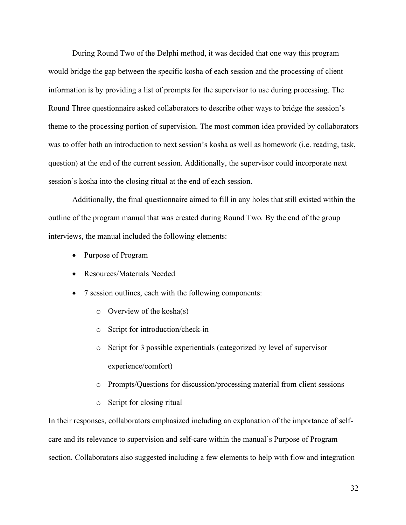During Round Two of the Delphi method, it was decided that one way this program would bridge the gap between the specific kosha of each session and the processing of client information is by providing a list of prompts for the supervisor to use during processing. The Round Three questionnaire asked collaborators to describe other ways to bridge the session's theme to the processing portion of supervision. The most common idea provided by collaborators was to offer both an introduction to next session's kosha as well as homework (i.e. reading, task, question) at the end of the current session. Additionally, the supervisor could incorporate next session's kosha into the closing ritual at the end of each session.

Additionally, the final questionnaire aimed to fill in any holes that still existed within the outline of the program manual that was created during Round Two. By the end of the group interviews, the manual included the following elements:

- Purpose of Program
- Resources/Materials Needed
- 7 session outlines, each with the following components:
	- o Overview of the kosha(s)
	- o Script for introduction/check-in
	- o Script for 3 possible experientials (categorized by level of supervisor experience/comfort)
	- o Prompts/Questions for discussion/processing material from client sessions
	- o Script for closing ritual

In their responses, collaborators emphasized including an explanation of the importance of selfcare and its relevance to supervision and self-care within the manual's Purpose of Program section. Collaborators also suggested including a few elements to help with flow and integration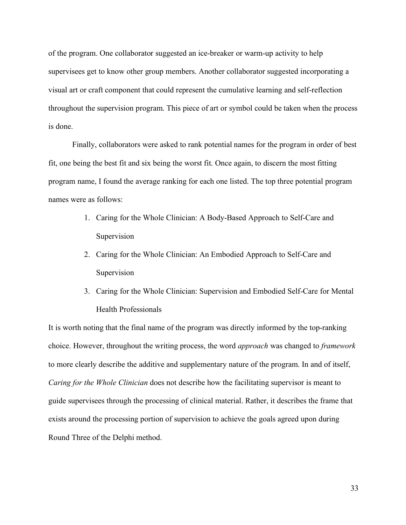of the program. One collaborator suggested an ice-breaker or warm-up activity to help supervisees get to know other group members. Another collaborator suggested incorporating a visual art or craft component that could represent the cumulative learning and self-reflection throughout the supervision program. This piece of art or symbol could be taken when the process is done.

Finally, collaborators were asked to rank potential names for the program in order of best fit, one being the best fit and six being the worst fit. Once again, to discern the most fitting program name, I found the average ranking for each one listed. The top three potential program names were as follows:

- 1. Caring for the Whole Clinician: A Body-Based Approach to Self-Care and Supervision
- 2. Caring for the Whole Clinician: An Embodied Approach to Self-Care and Supervision
- 3. Caring for the Whole Clinician: Supervision and Embodied Self-Care for Mental Health Professionals

It is worth noting that the final name of the program was directly informed by the top-ranking choice. However, throughout the writing process, the word *approach* was changed to *framework* to more clearly describe the additive and supplementary nature of the program. In and of itself, *Caring for the Whole Clinician* does not describe how the facilitating supervisor is meant to guide supervisees through the processing of clinical material. Rather, it describes the frame that exists around the processing portion of supervision to achieve the goals agreed upon during Round Three of the Delphi method.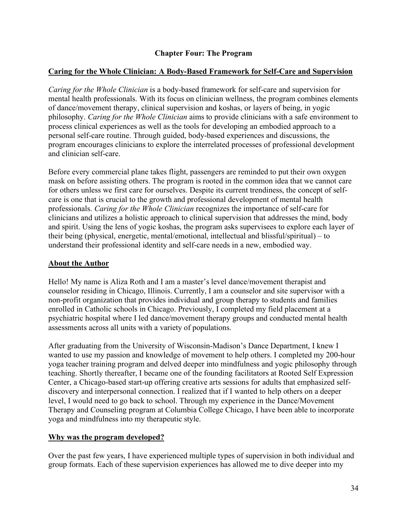# **Chapter Four: The Program**

### **Caring for the Whole Clinician: A Body-Based Framework for Self-Care and Supervision**

*Caring for the Whole Clinician* is a body-based framework for self-care and supervision for mental health professionals. With its focus on clinician wellness, the program combines elements of dance/movement therapy, clinical supervision and koshas, or layers of being, in yogic philosophy. *Caring for the Whole Clinician* aims to provide clinicians with a safe environment to process clinical experiences as well as the tools for developing an embodied approach to a personal self-care routine. Through guided, body-based experiences and discussions, the program encourages clinicians to explore the interrelated processes of professional development and clinician self-care.

Before every commercial plane takes flight, passengers are reminded to put their own oxygen mask on before assisting others. The program is rooted in the common idea that we cannot care for others unless we first care for ourselves. Despite its current trendiness, the concept of selfcare is one that is crucial to the growth and professional development of mental health professionals. *Caring for the Whole Clinician* recognizes the importance of self-care for clinicians and utilizes a holistic approach to clinical supervision that addresses the mind, body and spirit. Using the lens of yogic koshas, the program asks supervisees to explore each layer of their being (physical, energetic, mental/emotional, intellectual and blissful/spiritual) – to understand their professional identity and self-care needs in a new, embodied way.

#### **About the Author**

Hello! My name is Aliza Roth and I am a master's level dance/movement therapist and counselor residing in Chicago, Illinois. Currently, I am a counselor and site supervisor with a non-profit organization that provides individual and group therapy to students and families enrolled in Catholic schools in Chicago. Previously, I completed my field placement at a psychiatric hospital where I led dance/movement therapy groups and conducted mental health assessments across all units with a variety of populations.

After graduating from the University of Wisconsin-Madison's Dance Department, I knew I wanted to use my passion and knowledge of movement to help others. I completed my 200-hour yoga teacher training program and delved deeper into mindfulness and yogic philosophy through teaching. Shortly thereafter, I became one of the founding facilitators at Rooted Self Expression Center, a Chicago-based start-up offering creative arts sessions for adults that emphasized selfdiscovery and interpersonal connection. I realized that if I wanted to help others on a deeper level, I would need to go back to school. Through my experience in the Dance/Movement Therapy and Counseling program at Columbia College Chicago, I have been able to incorporate yoga and mindfulness into my therapeutic style.

# **Why was the program developed?**

Over the past few years, I have experienced multiple types of supervision in both individual and group formats. Each of these supervision experiences has allowed me to dive deeper into my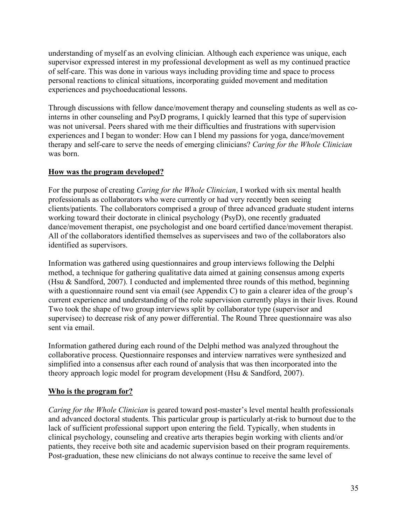understanding of myself as an evolving clinician. Although each experience was unique, each supervisor expressed interest in my professional development as well as my continued practice of self-care. This was done in various ways including providing time and space to process personal reactions to clinical situations, incorporating guided movement and meditation experiences and psychoeducational lessons.

Through discussions with fellow dance/movement therapy and counseling students as well as cointerns in other counseling and PsyD programs, I quickly learned that this type of supervision was not universal. Peers shared with me their difficulties and frustrations with supervision experiences and I began to wonder: How can I blend my passions for yoga, dance/movement therapy and self-care to serve the needs of emerging clinicians? *Caring for the Whole Clinician* was born.

# **How was the program developed?**

For the purpose of creating *Caring for the Whole Clinician*, I worked with six mental health professionals as collaborators who were currently or had very recently been seeing clients/patients. The collaborators comprised a group of three advanced graduate student interns working toward their doctorate in clinical psychology (PsyD), one recently graduated dance/movement therapist, one psychologist and one board certified dance/movement therapist. All of the collaborators identified themselves as supervisees and two of the collaborators also identified as supervisors.

Information was gathered using questionnaires and group interviews following the Delphi method, a technique for gathering qualitative data aimed at gaining consensus among experts (Hsu & Sandford, 2007). I conducted and implemented three rounds of this method, beginning with a questionnaire round sent via email (see Appendix C) to gain a clearer idea of the group's current experience and understanding of the role supervision currently plays in their lives. Round Two took the shape of two group interviews split by collaborator type (supervisor and supervisee) to decrease risk of any power differential. The Round Three questionnaire was also sent via email.

Information gathered during each round of the Delphi method was analyzed throughout the collaborative process. Questionnaire responses and interview narratives were synthesized and simplified into a consensus after each round of analysis that was then incorporated into the theory approach logic model for program development (Hsu & Sandford, 2007).

# **Who is the program for?**

*Caring for the Whole Clinician* is geared toward post-master's level mental health professionals and advanced doctoral students. This particular group is particularly at-risk to burnout due to the lack of sufficient professional support upon entering the field. Typically, when students in clinical psychology, counseling and creative arts therapies begin working with clients and/or patients, they receive both site and academic supervision based on their program requirements. Post-graduation, these new clinicians do not always continue to receive the same level of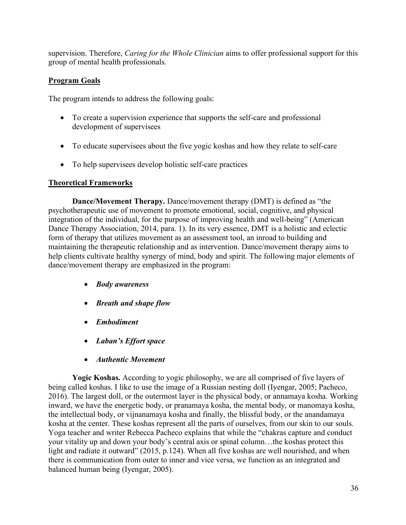supervision. Therefore, *Caring for the Whole Clinician* aims to offer professional support for this group of mental health professionals.

# **Program Goals**

The program intends to address the following goals:

- To create a supervision experience that supports the self-care and professional development of supervisees
- To educate supervisees about the five yogic koshas and how they relate to self-care
- To help supervisees develop holistic self-care practices

# **Theoretical Frameworks**

**Dance/Movement Therapy.** Dance/movement therapy (DMT) is defined as "the psychotherapeutic use of movement to promote emotional, social, cognitive, and physical integration of the individual, for the purpose of improving health and well-being" (American Dance Therapy Association, 2014, para. 1). In its very essence, DMT is a holistic and eclectic form of therapy that utilizes movement as an assessment tool, an inroad to building and maintaining the therapeutic relationship and as intervention. Dance/movement therapy aims to help clients cultivate healthy synergy of mind, body and spirit. The following major elements of dance/movement therapy are emphasized in the program:

- *Body awareness*
- *Breath and shape flow*
- *Embodiment*
- *Laban's Effort space*
- *Authentic Movement*

**Yogic Koshas.** According to yogic philosophy, we are all comprised of five layers of being called koshas. I like to use the image of a Russian nesting doll (Iyengar, 2005; Pacheco, 2016). The largest doll, or the outermost layer is the physical body, or annamaya kosha. Working inward, we have the energetic body, or pranamaya kosha, the mental body, or manomaya kosha, the intellectual body, or vijnanamaya kosha and finally, the blissful body, or the anandamaya kosha at the center. These koshas represent all the parts of ourselves, from our skin to our souls. Yoga teacher and writer Rebecca Pacheco explains that while the "chakras capture and conduct your vitality up and down your body's central axis or spinal column…the koshas protect this light and radiate it outward" (2015, p.124). When all five koshas are well nourished, and when there is communication from outer to inner and vice versa, we function as an integrated and balanced human being (Iyengar, 2005).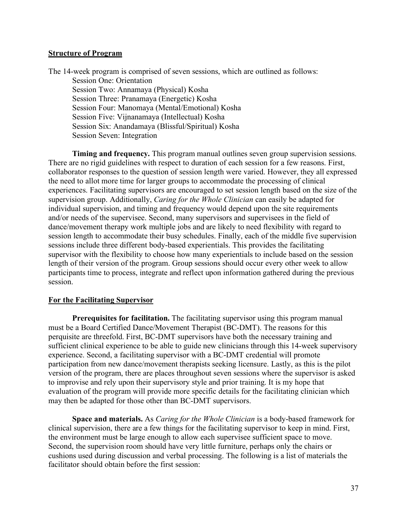#### **Structure of Program**

The 14-week program is comprised of seven sessions, which are outlined as follows: Session One: Orientation Session Two: Annamaya (Physical) Kosha Session Three: Pranamaya (Energetic) Kosha Session Four: Manomaya (Mental/Emotional) Kosha Session Five: Vijnanamaya (Intellectual) Kosha Session Six: Anandamaya (Blissful/Spiritual) Kosha Session Seven: Integration

**Timing and frequency.** This program manual outlines seven group supervision sessions. There are no rigid guidelines with respect to duration of each session for a few reasons. First, collaborator responses to the question of session length were varied. However, they all expressed the need to allot more time for larger groups to accommodate the processing of clinical experiences. Facilitating supervisors are encouraged to set session length based on the size of the supervision group. Additionally, *Caring for the Whole Clinician* can easily be adapted for individual supervision, and timing and frequency would depend upon the site requirements and/or needs of the supervisee. Second, many supervisors and supervisees in the field of dance/movement therapy work multiple jobs and are likely to need flexibility with regard to session length to accommodate their busy schedules. Finally, each of the middle five supervision sessions include three different body-based experientials. This provides the facilitating supervisor with the flexibility to choose how many experientials to include based on the session length of their version of the program. Group sessions should occur every other week to allow participants time to process, integrate and reflect upon information gathered during the previous session.

#### **For the Facilitating Supervisor**

**Prerequisites for facilitation.** The facilitating supervisor using this program manual must be a Board Certified Dance/Movement Therapist (BC-DMT). The reasons for this perquisite are threefold. First, BC-DMT supervisors have both the necessary training and sufficient clinical experience to be able to guide new clinicians through this 14-week supervisory experience. Second, a facilitating supervisor with a BC-DMT credential will promote participation from new dance/movement therapists seeking licensure. Lastly, as this is the pilot version of the program, there are places throughout seven sessions where the supervisor is asked to improvise and rely upon their supervisory style and prior training. It is my hope that evaluation of the program will provide more specific details for the facilitating clinician which may then be adapted for those other than BC-DMT supervisors.

**Space and materials.** As *Caring for the Whole Clinician* is a body-based framework for clinical supervision, there are a few things for the facilitating supervisor to keep in mind. First, the environment must be large enough to allow each supervisee sufficient space to move. Second, the supervision room should have very little furniture, perhaps only the chairs or cushions used during discussion and verbal processing. The following is a list of materials the facilitator should obtain before the first session: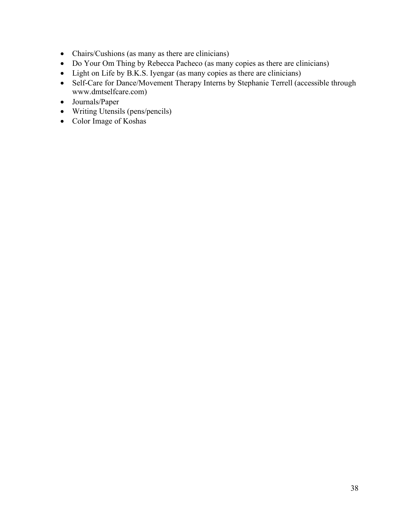- Chairs/Cushions (as many as there are clinicians)
- Do Your Om Thing by Rebecca Pacheco (as many copies as there are clinicians)
- Light on Life by B.K.S. Iyengar (as many copies as there are clinicians)
- Self-Care for Dance/Movement Therapy Interns by Stephanie Terrell (accessible through www.dmtselfcare.com)
- Journals/Paper
- Writing Utensils (pens/pencils)
- Color Image of Koshas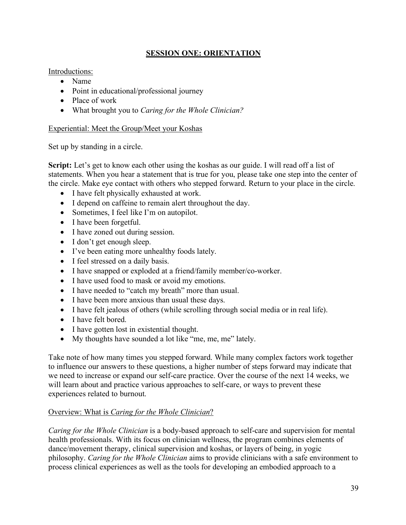# **SESSION ONE: ORIENTATION**

## Introductions:

- Name
- Point in educational/professional journey
- Place of work
- What brought you to *Caring for the Whole Clinician?*

## Experiential: Meet the Group/Meet your Koshas

Set up by standing in a circle.

**Script:** Let's get to know each other using the koshas as our guide. I will read off a list of statements. When you hear a statement that is true for you, please take one step into the center of the circle. Make eye contact with others who stepped forward. Return to your place in the circle.

- I have felt physically exhausted at work.
- I depend on caffeine to remain alert throughout the day.
- Sometimes, I feel like I'm on autopilot.
- I have been forgetful.
- I have zoned out during session.
- I don't get enough sleep.
- I've been eating more unhealthy foods lately.
- I feel stressed on a daily basis.
- I have snapped or exploded at a friend/family member/co-worker.
- I have used food to mask or avoid my emotions.
- I have needed to "catch my breath" more than usual.
- I have been more anxious than usual these days.
- I have felt jealous of others (while scrolling through social media or in real life).
- I have felt bored.
- I have gotten lost in existential thought.
- My thoughts have sounded a lot like "me, me, me" lately.

Take note of how many times you stepped forward. While many complex factors work together to influence our answers to these questions, a higher number of steps forward may indicate that we need to increase or expand our self-care practice. Over the course of the next 14 weeks, we will learn about and practice various approaches to self-care, or ways to prevent these experiences related to burnout.

# Overview: What is *Caring for the Whole Clinician*?

*Caring for the Whole Clinician* is a body-based approach to self-care and supervision for mental health professionals. With its focus on clinician wellness, the program combines elements of dance/movement therapy, clinical supervision and koshas, or layers of being, in yogic philosophy. *Caring for the Whole Clinician* aims to provide clinicians with a safe environment to process clinical experiences as well as the tools for developing an embodied approach to a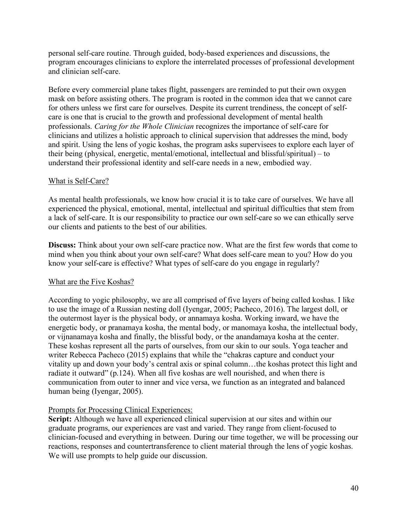personal self-care routine. Through guided, body-based experiences and discussions, the program encourages clinicians to explore the interrelated processes of professional development and clinician self-care.

Before every commercial plane takes flight, passengers are reminded to put their own oxygen mask on before assisting others. The program is rooted in the common idea that we cannot care for others unless we first care for ourselves. Despite its current trendiness, the concept of selfcare is one that is crucial to the growth and professional development of mental health professionals. *Caring for the Whole Clinician* recognizes the importance of self-care for clinicians and utilizes a holistic approach to clinical supervision that addresses the mind, body and spirit. Using the lens of yogic koshas, the program asks supervisees to explore each layer of their being (physical, energetic, mental/emotional, intellectual and blissful/spiritual) – to understand their professional identity and self-care needs in a new, embodied way.

### What is Self-Care?

As mental health professionals, we know how crucial it is to take care of ourselves. We have all experienced the physical, emotional, mental, intellectual and spiritual difficulties that stem from a lack of self-care. It is our responsibility to practice our own self-care so we can ethically serve our clients and patients to the best of our abilities.

**Discuss:** Think about your own self-care practice now. What are the first few words that come to mind when you think about your own self-care? What does self-care mean to you? How do you know your self-care is effective? What types of self-care do you engage in regularly?

# What are the Five Koshas?

According to yogic philosophy, we are all comprised of five layers of being called koshas. I like to use the image of a Russian nesting doll (Iyengar, 2005; Pacheco, 2016). The largest doll, or the outermost layer is the physical body, or annamaya kosha. Working inward, we have the energetic body, or pranamaya kosha, the mental body, or manomaya kosha, the intellectual body, or vijnanamaya kosha and finally, the blissful body, or the anandamaya kosha at the center. These koshas represent all the parts of ourselves, from our skin to our souls. Yoga teacher and writer Rebecca Pacheco (2015) explains that while the "chakras capture and conduct your vitality up and down your body's central axis or spinal column…the koshas protect this light and radiate it outward" (p.124). When all five koshas are well nourished, and when there is communication from outer to inner and vice versa, we function as an integrated and balanced human being (Iyengar, 2005).

# Prompts for Processing Clinical Experiences:

**Script:** Although we have all experienced clinical supervision at our sites and within our graduate programs, our experiences are vast and varied. They range from client-focused to clinician-focused and everything in between. During our time together, we will be processing our reactions, responses and countertransference to client material through the lens of yogic koshas. We will use prompts to help guide our discussion.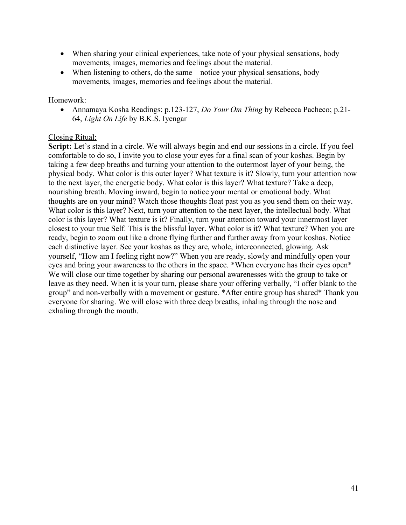- When sharing your clinical experiences, take note of your physical sensations, body movements, images, memories and feelings about the material.
- When listening to others, do the same notice your physical sensations, body movements, images, memories and feelings about the material.

#### Homework:

• Annamaya Kosha Readings: p.123-127, *Do Your Om Thing* by Rebecca Pacheco; p.21- 64, *Light On Life* by B.K.S. Iyengar

# Closing Ritual:

**Script:** Let's stand in a circle. We will always begin and end our sessions in a circle. If you feel comfortable to do so, I invite you to close your eyes for a final scan of your koshas. Begin by taking a few deep breaths and turning your attention to the outermost layer of your being, the physical body. What color is this outer layer? What texture is it? Slowly, turn your attention now to the next layer, the energetic body. What color is this layer? What texture? Take a deep, nourishing breath. Moving inward, begin to notice your mental or emotional body. What thoughts are on your mind? Watch those thoughts float past you as you send them on their way. What color is this layer? Next, turn your attention to the next layer, the intellectual body. What color is this layer? What texture is it? Finally, turn your attention toward your innermost layer closest to your true Self. This is the blissful layer. What color is it? What texture? When you are ready, begin to zoom out like a drone flying further and further away from your koshas. Notice each distinctive layer. See your koshas as they are, whole, interconnected, glowing. Ask yourself, "How am I feeling right now?" When you are ready, slowly and mindfully open your eyes and bring your awareness to the others in the space. \*When everyone has their eyes open\* We will close our time together by sharing our personal awarenesses with the group to take or leave as they need. When it is your turn, please share your offering verbally, "I offer blank to the group" and non-verbally with a movement or gesture. \*After entire group has shared\* Thank you everyone for sharing. We will close with three deep breaths, inhaling through the nose and exhaling through the mouth.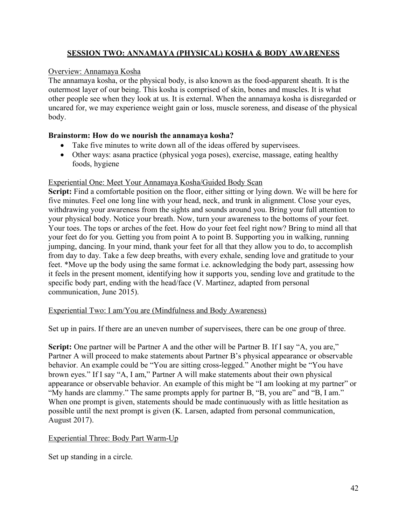# **SESSION TWO: ANNAMAYA (PHYSICAL) KOSHA & BODY AWARENESS**

# Overview: Annamaya Kosha

The annamaya kosha, or the physical body, is also known as the food-apparent sheath. It is the outermost layer of our being. This kosha is comprised of skin, bones and muscles. It is what other people see when they look at us. It is external. When the annamaya kosha is disregarded or uncared for, we may experience weight gain or loss, muscle soreness, and disease of the physical body.

# **Brainstorm: How do we nourish the annamaya kosha?**

- Take five minutes to write down all of the ideas offered by supervisees.
- Other ways: asana practice (physical yoga poses), exercise, massage, eating healthy foods, hygiene

# Experiential One: Meet Your Annamaya Kosha/Guided Body Scan

**Script:** Find a comfortable position on the floor, either sitting or lying down. We will be here for five minutes. Feel one long line with your head, neck, and trunk in alignment. Close your eyes, withdrawing your awareness from the sights and sounds around you. Bring your full attention to your physical body. Notice your breath. Now, turn your awareness to the bottoms of your feet. Your toes. The tops or arches of the feet. How do your feet feel right now? Bring to mind all that your feet do for you. Getting you from point A to point B. Supporting you in walking, running jumping, dancing. In your mind, thank your feet for all that they allow you to do, to accomplish from day to day. Take a few deep breaths, with every exhale, sending love and gratitude to your feet. \*Move up the body using the same format i.e. acknowledging the body part, assessing how it feels in the present moment, identifying how it supports you, sending love and gratitude to the specific body part, ending with the head/face (V. Martinez, adapted from personal communication, June 2015).

# Experiential Two: I am/You are (Mindfulness and Body Awareness)

Set up in pairs. If there are an uneven number of supervisees, there can be one group of three.

**Script:** One partner will be Partner A and the other will be Partner B. If I say "A, you are," Partner A will proceed to make statements about Partner B's physical appearance or observable behavior. An example could be "You are sitting cross-legged." Another might be "You have brown eyes." If I say "A, I am," Partner A will make statements about their own physical appearance or observable behavior. An example of this might be "I am looking at my partner" or "My hands are clammy." The same prompts apply for partner B, "B, you are" and "B, I am." When one prompt is given, statements should be made continuously with as little hesitation as possible until the next prompt is given (K. Larsen, adapted from personal communication, August 2017).

# Experiential Three: Body Part Warm-Up

Set up standing in a circle.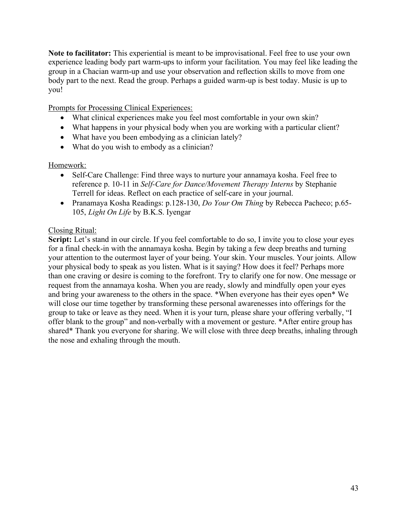**Note to facilitator:** This experiential is meant to be improvisational. Feel free to use your own experience leading body part warm-ups to inform your facilitation. You may feel like leading the group in a Chacian warm-up and use your observation and reflection skills to move from one body part to the next. Read the group. Perhaps a guided warm-up is best today. Music is up to you!

Prompts for Processing Clinical Experiences:

- What clinical experiences make you feel most comfortable in your own skin?
- What happens in your physical body when you are working with a particular client?
- What have you been embodying as a clinician lately?
- What do you wish to embody as a clinician?

### Homework:

- Self-Care Challenge: Find three ways to nurture your annamaya kosha. Feel free to reference p. 10-11 in *Self-Care for Dance/Movement Therapy Interns* by Stephanie Terrell for ideas. Reflect on each practice of self-care in your journal.
- Pranamaya Kosha Readings: p.128-130, *Do Your Om Thing* by Rebecca Pacheco; p.65- 105, *Light On Life* by B.K.S. Iyengar

### Closing Ritual:

**Script:** Let's stand in our circle. If you feel comfortable to do so, I invite you to close your eyes for a final check-in with the annamaya kosha. Begin by taking a few deep breaths and turning your attention to the outermost layer of your being. Your skin. Your muscles. Your joints. Allow your physical body to speak as you listen. What is it saying? How does it feel? Perhaps more than one craving or desire is coming to the forefront. Try to clarify one for now. One message or request from the annamaya kosha. When you are ready, slowly and mindfully open your eyes and bring your awareness to the others in the space. \*When everyone has their eyes open\* We will close our time together by transforming these personal awarenesses into offerings for the group to take or leave as they need. When it is your turn, please share your offering verbally, "I offer blank to the group" and non-verbally with a movement or gesture. \*After entire group has shared\* Thank you everyone for sharing. We will close with three deep breaths, inhaling through the nose and exhaling through the mouth.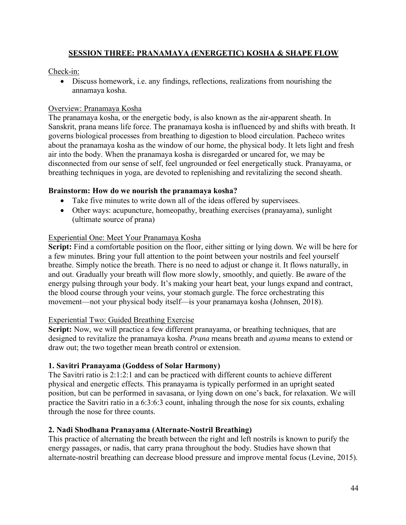# **SESSION THREE: PRANAMAYA (ENERGETIC) KOSHA & SHAPE FLOW**

Check-in:

• Discuss homework, i.e. any findings, reflections, realizations from nourishing the annamaya kosha.

### Overview: Pranamaya Kosha

The pranamaya kosha, or the energetic body, is also known as the air-apparent sheath. In Sanskrit, prana means life force. The pranamaya kosha is influenced by and shifts with breath. It governs biological processes from breathing to digestion to blood circulation. Pacheco writes about the pranamaya kosha as the window of our home, the physical body. It lets light and fresh air into the body. When the pranamaya kosha is disregarded or uncared for, we may be disconnected from our sense of self, feel ungrounded or feel energetically stuck. Pranayama, or breathing techniques in yoga, are devoted to replenishing and revitalizing the second sheath.

### **Brainstorm: How do we nourish the pranamaya kosha?**

- Take five minutes to write down all of the ideas offered by supervisees.
- Other ways: acupuncture, homeopathy, breathing exercises (pranayama), sunlight (ultimate source of prana)

### Experiential One: Meet Your Pranamaya Kosha

**Script:** Find a comfortable position on the floor, either sitting or lying down. We will be here for a few minutes. Bring your full attention to the point between your nostrils and feel yourself breathe. Simply notice the breath. There is no need to adjust or change it. It flows naturally, in and out. Gradually your breath will flow more slowly, smoothly, and quietly. Be aware of the energy pulsing through your body. It's making your heart beat, your lungs expand and contract, the blood course through your veins, your stomach gurgle. The force orchestrating this movement—not your physical body itself—is your pranamaya kosha (Johnsen, 2018).

#### Experiential Two: Guided Breathing Exercise

**Script:** Now, we will practice a few different pranayama, or breathing techniques, that are designed to revitalize the pranamaya kosha. *Prana* means breath and *ayama* means to extend or draw out; the two together mean breath control or extension.

#### **1. Savitri Pranayama (Goddess of Solar Harmony)**

The Savitri ratio is 2:1:2:1 and can be practiced with different counts to achieve different physical and energetic effects. This pranayama is typically performed in an upright seated position, but can be performed in savasana, or lying down on one's back, for relaxation. We will practice the Savitri ratio in a 6:3:6:3 count, inhaling through the nose for six counts, exhaling through the nose for three counts.

#### **2. Nadi Shodhana Pranayama (Alternate-Nostril Breathing)**

This practice of alternating the breath between the right and left nostrils is known to purify the energy passages, or nadis, that carry prana throughout the body. Studies have shown that alternate-nostril breathing can decrease blood pressure and improve mental focus (Levine, 2015).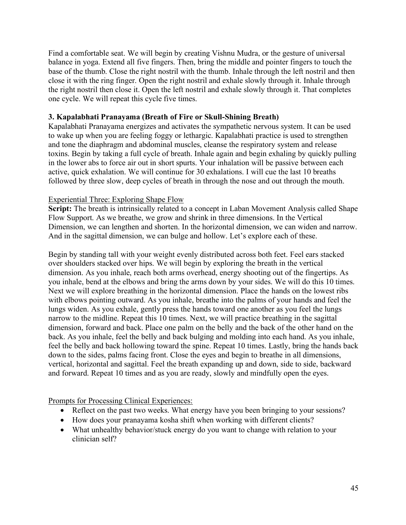Find a comfortable seat. We will begin by creating Vishnu Mudra, or the gesture of universal balance in yoga. Extend all five fingers. Then, bring the middle and pointer fingers to touch the base of the thumb. Close the right nostril with the thumb. Inhale through the left nostril and then close it with the ring finger. Open the right nostril and exhale slowly through it. Inhale through the right nostril then close it. Open the left nostril and exhale slowly through it. That completes one cycle. We will repeat this cycle five times.

### **3. Kapalabhati Pranayama (Breath of Fire or Skull-Shining Breath)**

Kapalabhati Pranayama energizes and activates the sympathetic nervous system. It can be used to wake up when you are feeling foggy or lethargic. Kapalabhati practice is used to strengthen and tone the diaphragm and abdominal muscles, cleanse the respiratory system and release toxins. Begin by taking a full cycle of breath. Inhale again and begin exhaling by quickly pulling in the lower abs to force air out in short spurts. Your inhalation will be passive between each active, quick exhalation. We will continue for 30 exhalations. I will cue the last 10 breaths followed by three slow, deep cycles of breath in through the nose and out through the mouth.

### Experiential Three: Exploring Shape Flow

**Script:** The breath is intrinsically related to a concept in Laban Movement Analysis called Shape Flow Support. As we breathe, we grow and shrink in three dimensions. In the Vertical Dimension, we can lengthen and shorten. In the horizontal dimension, we can widen and narrow. And in the sagittal dimension, we can bulge and hollow. Let's explore each of these.

Begin by standing tall with your weight evenly distributed across both feet. Feel ears stacked over shoulders stacked over hips. We will begin by exploring the breath in the vertical dimension. As you inhale, reach both arms overhead, energy shooting out of the fingertips. As you inhale, bend at the elbows and bring the arms down by your sides. We will do this 10 times. Next we will explore breathing in the horizontal dimension. Place the hands on the lowest ribs with elbows pointing outward. As you inhale, breathe into the palms of your hands and feel the lungs widen. As you exhale, gently press the hands toward one another as you feel the lungs narrow to the midline. Repeat this 10 times. Next, we will practice breathing in the sagittal dimension, forward and back. Place one palm on the belly and the back of the other hand on the back. As you inhale, feel the belly and back bulging and molding into each hand. As you inhale, feel the belly and back hollowing toward the spine. Repeat 10 times. Lastly, bring the hands back down to the sides, palms facing front. Close the eyes and begin to breathe in all dimensions, vertical, horizontal and sagittal. Feel the breath expanding up and down, side to side, backward and forward. Repeat 10 times and as you are ready, slowly and mindfully open the eyes.

#### Prompts for Processing Clinical Experiences:

- Reflect on the past two weeks. What energy have you been bringing to your sessions?
- How does your pranayama kosha shift when working with different clients?
- What unhealthy behavior/stuck energy do you want to change with relation to your clinician self?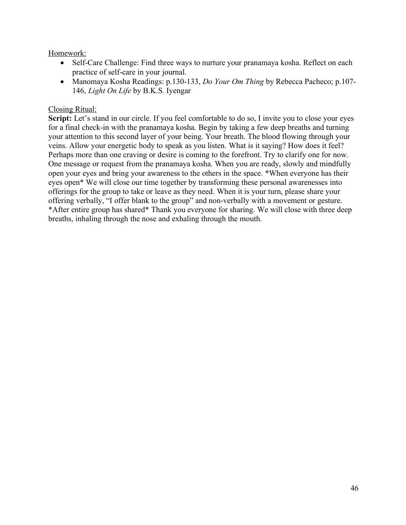## Homework:

- Self-Care Challenge: Find three ways to nurture your pranamaya kosha. Reflect on each practice of self-care in your journal.
- Manomaya Kosha Readings: p.130-133, *Do Your Om Thing* by Rebecca Pacheco; p.107- 146, *Light On Life* by B.K.S. Iyengar

#### Closing Ritual:

**Script:** Let's stand in our circle. If you feel comfortable to do so, I invite you to close your eyes for a final check-in with the pranamaya kosha. Begin by taking a few deep breaths and turning your attention to this second layer of your being. Your breath. The blood flowing through your veins. Allow your energetic body to speak as you listen. What is it saying? How does it feel? Perhaps more than one craving or desire is coming to the forefront. Try to clarify one for now. One message or request from the pranamaya kosha. When you are ready, slowly and mindfully open your eyes and bring your awareness to the others in the space. \*When everyone has their eyes open\* We will close our time together by transforming these personal awarenesses into offerings for the group to take or leave as they need. When it is your turn, please share your offering verbally, "I offer blank to the group" and non-verbally with a movement or gesture. \*After entire group has shared\* Thank you everyone for sharing. We will close with three deep breaths, inhaling through the nose and exhaling through the mouth.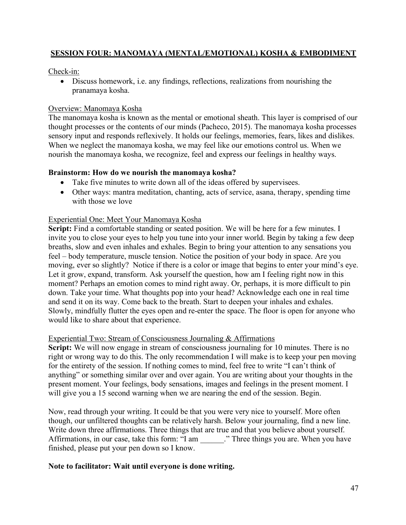# **SESSION FOUR: MANOMAYA (MENTAL/EMOTIONAL) KOSHA & EMBODIMENT**

## Check-in:

• Discuss homework, i.e. any findings, reflections, realizations from nourishing the pranamaya kosha.

### Overview: Manomaya Kosha

The manomaya kosha is known as the mental or emotional sheath. This layer is comprised of our thought processes or the contents of our minds (Pacheco, 2015). The manomaya kosha processes sensory input and responds reflexively. It holds our feelings, memories, fears, likes and dislikes. When we neglect the manomaya kosha, we may feel like our emotions control us. When we nourish the manomaya kosha, we recognize, feel and express our feelings in healthy ways.

### **Brainstorm: How do we nourish the manomaya kosha?**

- Take five minutes to write down all of the ideas offered by supervisees.
- Other ways: mantra meditation, chanting, acts of service, asana, therapy, spending time with those we love

### Experiential One: Meet Your Manomaya Kosha

Script: Find a comfortable standing or seated position. We will be here for a few minutes. I invite you to close your eyes to help you tune into your inner world. Begin by taking a few deep breaths, slow and even inhales and exhales. Begin to bring your attention to any sensations you feel – body temperature, muscle tension. Notice the position of your body in space. Are you moving, ever so slightly? Notice if there is a color or image that begins to enter your mind's eye. Let it grow, expand, transform. Ask yourself the question, how am I feeling right now in this moment? Perhaps an emotion comes to mind right away. Or, perhaps, it is more difficult to pin down. Take your time. What thoughts pop into your head? Acknowledge each one in real time and send it on its way. Come back to the breath. Start to deepen your inhales and exhales. Slowly, mindfully flutter the eyes open and re-enter the space. The floor is open for anyone who would like to share about that experience.

#### Experiential Two: Stream of Consciousness Journaling & Affirmations

**Script:** We will now engage in stream of consciousness journaling for 10 minutes. There is no right or wrong way to do this. The only recommendation I will make is to keep your pen moving for the entirety of the session. If nothing comes to mind, feel free to write "I can't think of anything" or something similar over and over again. You are writing about your thoughts in the present moment. Your feelings, body sensations, images and feelings in the present moment. I will give you a 15 second warning when we are nearing the end of the session. Begin.

Now, read through your writing. It could be that you were very nice to yourself. More often though, our unfiltered thoughts can be relatively harsh. Below your journaling, find a new line. Write down three affirmations. Three things that are true and that you believe about yourself. Affirmations, in our case, take this form: "I am ..." Three things you are. When you have finished, please put your pen down so I know.

# **Note to facilitator: Wait until everyone is done writing.**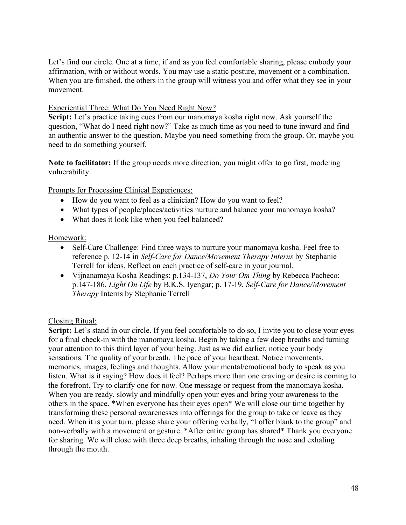Let's find our circle. One at a time, if and as you feel comfortable sharing, please embody your affirmation, with or without words. You may use a static posture, movement or a combination. When you are finished, the others in the group will witness you and offer what they see in your movement.

## Experiential Three: What Do You Need Right Now?

**Script:** Let's practice taking cues from our manomaya kosha right now. Ask yourself the question, "What do I need right now?" Take as much time as you need to tune inward and find an authentic answer to the question. Maybe you need something from the group. Or, maybe you need to do something yourself.

**Note to facilitator:** If the group needs more direction, you might offer to go first, modeling vulnerability.

Prompts for Processing Clinical Experiences:

- How do you want to feel as a clinician? How do you want to feel?
- What types of people/places/activities nurture and balance your manomaya kosha?
- What does it look like when you feel balanced?

### Homework:

- Self-Care Challenge: Find three ways to nurture your manomaya kosha. Feel free to reference p. 12-14 in *Self-Care for Dance/Movement Therapy Interns* by Stephanie Terrell for ideas. Reflect on each practice of self-care in your journal.
- Vijnanamaya Kosha Readings: p.134-137, *Do Your Om Thing* by Rebecca Pacheco; p.147-186, *Light On Life* by B.K.S. Iyengar; p. 17-19, *Self-Care for Dance/Movement Therapy* Interns by Stephanie Terrell

#### Closing Ritual:

**Script:** Let's stand in our circle. If you feel comfortable to do so, I invite you to close your eyes for a final check-in with the manomaya kosha. Begin by taking a few deep breaths and turning your attention to this third layer of your being. Just as we did earlier, notice your body sensations. The quality of your breath. The pace of your heartbeat. Notice movements, memories, images, feelings and thoughts. Allow your mental/emotional body to speak as you listen. What is it saying? How does it feel? Perhaps more than one craving or desire is coming to the forefront. Try to clarify one for now. One message or request from the manomaya kosha. When you are ready, slowly and mindfully open your eyes and bring your awareness to the others in the space. \*When everyone has their eyes open\* We will close our time together by transforming these personal awarenesses into offerings for the group to take or leave as they need. When it is your turn, please share your offering verbally, "I offer blank to the group" and non-verbally with a movement or gesture. \*After entire group has shared\* Thank you everyone for sharing. We will close with three deep breaths, inhaling through the nose and exhaling through the mouth.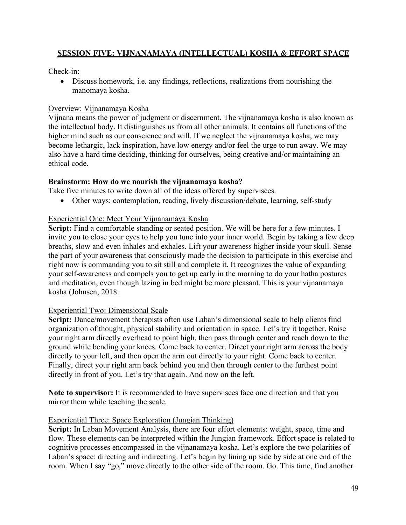# **SESSION FIVE: VIJNANAMAYA (INTELLECTUAL) KOSHA & EFFORT SPACE**

Check-in:

• Discuss homework, i.e. any findings, reflections, realizations from nourishing the manomaya kosha.

## Overview: Vijnanamaya Kosha

Vijnana means the power of judgment or discernment. The vijnanamaya kosha is also known as the intellectual body. It distinguishes us from all other animals. It contains all functions of the higher mind such as our conscience and will. If we neglect the vijnanamaya kosha, we may become lethargic, lack inspiration, have low energy and/or feel the urge to run away. We may also have a hard time deciding, thinking for ourselves, being creative and/or maintaining an ethical code.

### **Brainstorm: How do we nourish the vijnanamaya kosha?**

Take five minutes to write down all of the ideas offered by supervisees.

• Other ways: contemplation, reading, lively discussion/debate, learning, self-study

### Experiential One: Meet Your Vijnanamaya Kosha

**Script:** Find a comfortable standing or seated position. We will be here for a few minutes. I invite you to close your eyes to help you tune into your inner world. Begin by taking a few deep breaths, slow and even inhales and exhales. Lift your awareness higher inside your skull. Sense the part of your awareness that consciously made the decision to participate in this exercise and right now is commanding you to sit still and complete it. It recognizes the value of expanding your self-awareness and compels you to get up early in the morning to do your hatha postures and meditation, even though lazing in bed might be more pleasant. This is your vijnanamaya kosha (Johnsen, 2018.

#### Experiential Two: Dimensional Scale

**Script:** Dance/movement therapists often use Laban's dimensional scale to help clients find organization of thought, physical stability and orientation in space. Let's try it together. Raise your right arm directly overhead to point high, then pass through center and reach down to the ground while bending your knees. Come back to center. Direct your right arm across the body directly to your left, and then open the arm out directly to your right. Come back to center. Finally, direct your right arm back behind you and then through center to the furthest point directly in front of you. Let's try that again. And now on the left.

**Note to supervisor:** It is recommended to have supervisees face one direction and that you mirror them while teaching the scale.

#### Experiential Three: Space Exploration (Jungian Thinking)

**Script:** In Laban Movement Analysis, there are four effort elements: weight, space, time and flow. These elements can be interpreted within the Jungian framework. Effort space is related to cognitive processes encompassed in the vijnanamaya kosha. Let's explore the two polarities of Laban's space: directing and indirecting. Let's begin by lining up side by side at one end of the room. When I say "go," move directly to the other side of the room. Go. This time, find another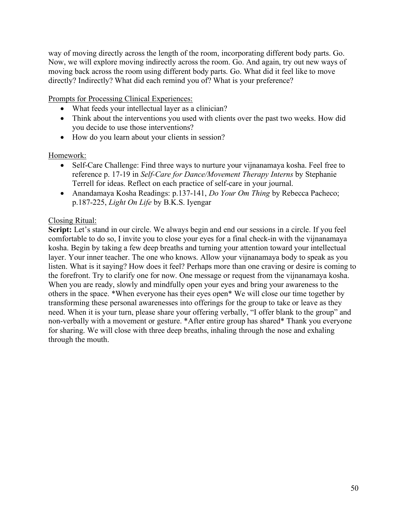way of moving directly across the length of the room, incorporating different body parts. Go. Now, we will explore moving indirectly across the room. Go. And again, try out new ways of moving back across the room using different body parts. Go. What did it feel like to move directly? Indirectly? What did each remind you of? What is your preference?

Prompts for Processing Clinical Experiences:

- What feeds your intellectual layer as a clinician?
- Think about the interventions you used with clients over the past two weeks. How did you decide to use those interventions?
- How do you learn about your clients in session?

### Homework:

- Self-Care Challenge: Find three ways to nurture your vijnanamaya kosha. Feel free to reference p. 17-19 in *Self-Care for Dance/Movement Therapy Interns* by Stephanie Terrell for ideas. Reflect on each practice of self-care in your journal.
- Anandamaya Kosha Readings: p.137-141, *Do Your Om Thing* by Rebecca Pacheco; p.187-225, *Light On Life* by B.K.S. Iyengar

### Closing Ritual:

**Script:** Let's stand in our circle. We always begin and end our sessions in a circle. If you feel comfortable to do so, I invite you to close your eyes for a final check-in with the vijnanamaya kosha. Begin by taking a few deep breaths and turning your attention toward your intellectual layer. Your inner teacher. The one who knows. Allow your vijnanamaya body to speak as you listen. What is it saying? How does it feel? Perhaps more than one craving or desire is coming to the forefront. Try to clarify one for now. One message or request from the vijnanamaya kosha. When you are ready, slowly and mindfully open your eyes and bring your awareness to the others in the space. \*When everyone has their eyes open\* We will close our time together by transforming these personal awarenesses into offerings for the group to take or leave as they need. When it is your turn, please share your offering verbally, "I offer blank to the group" and non-verbally with a movement or gesture. \*After entire group has shared\* Thank you everyone for sharing. We will close with three deep breaths, inhaling through the nose and exhaling through the mouth.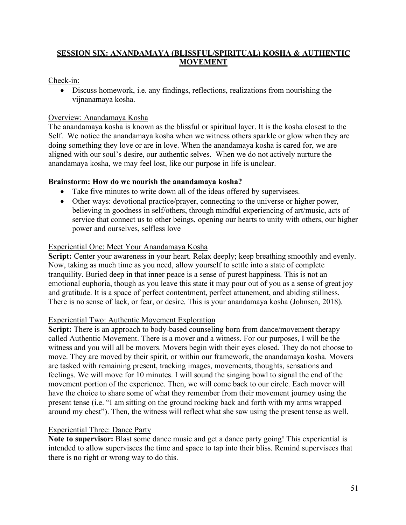# **SESSION SIX: ANANDAMAYA (BLISSFUL/SPIRITUAL) KOSHA & AUTHENTIC MOVEMENT**

# Check-in:

• Discuss homework, i.e. any findings, reflections, realizations from nourishing the vijnanamaya kosha.

# Overview: Anandamaya Kosha

The anandamaya kosha is known as the blissful or spiritual layer. It is the kosha closest to the Self. We notice the anandamaya kosha when we witness others sparkle or glow when they are doing something they love or are in love. When the anandamaya kosha is cared for, we are aligned with our soul's desire, our authentic selves. When we do not actively nurture the anandamaya kosha, we may feel lost, like our purpose in life is unclear.

# **Brainstorm: How do we nourish the anandamaya kosha?**

- Take five minutes to write down all of the ideas offered by supervisees.
- Other ways: devotional practice/prayer, connecting to the universe or higher power, believing in goodness in self/others, through mindful experiencing of art/music, acts of service that connect us to other beings, opening our hearts to unity with others, our higher power and ourselves, selfless love

# Experiential One: Meet Your Anandamaya Kosha

**Script:** Center your awareness in your heart. Relax deeply; keep breathing smoothly and evenly. Now, taking as much time as you need, allow yourself to settle into a state of complete tranquility. Buried deep in that inner peace is a sense of purest happiness. This is not an emotional euphoria, though as you leave this state it may pour out of you as a sense of great joy and gratitude. It is a space of perfect contentment, perfect attunement, and abiding stillness. There is no sense of lack, or fear, or desire. This is your anandamaya kosha (Johnsen, 2018).

# Experiential Two: Authentic Movement Exploration

**Script:** There is an approach to body-based counseling born from dance/movement therapy called Authentic Movement. There is a mover and a witness. For our purposes, I will be the witness and you will all be movers. Movers begin with their eyes closed. They do not choose to move. They are moved by their spirit, or within our framework, the anandamaya kosha. Movers are tasked with remaining present, tracking images, movements, thoughts, sensations and feelings. We will move for 10 minutes. I will sound the singing bowl to signal the end of the movement portion of the experience. Then, we will come back to our circle. Each mover will have the choice to share some of what they remember from their movement journey using the present tense (i.e. "I am sitting on the ground rocking back and forth with my arms wrapped around my chest"). Then, the witness will reflect what she saw using the present tense as well.

# Experiential Three: Dance Party

**Note to supervisor:** Blast some dance music and get a dance party going! This experiential is intended to allow supervisees the time and space to tap into their bliss. Remind supervisees that there is no right or wrong way to do this.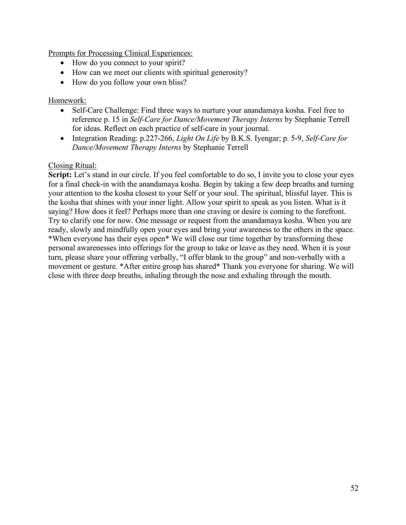Prompts for Processing Clinical Experiences:

- How do you connect to your spirit?
- How can we meet our clients with spiritual generosity?
- How do you follow your own bliss?

## Homework:

- Self-Care Challenge: Find three ways to nurture your anandamaya kosha. Feel free to reference p. 15 in *Self-Care for Dance/Movement Therapy Interns* by Stephanie Terrell for ideas. Reflect on each practice of self-care in your journal.
- Integration Reading: p.227-266, *Light On Life* by B.K.S. Iyengar; p. 5-9, *Self-Care for Dance/Movement Therapy Interns* by Stephanie Terrell

### Closing Ritual:

**Script:** Let's stand in our circle. If you feel comfortable to do so, I invite you to close your eyes for a final check-in with the anandamaya kosha. Begin by taking a few deep breaths and turning your attention to the kosha closest to your Self or your soul. The spiritual, blissful layer. This is the kosha that shines with your inner light. Allow your spirit to speak as you listen. What is it saying? How does it feel? Perhaps more than one craving or desire is coming to the forefront. Try to clarify one for now. One message or request from the anandamaya kosha. When you are ready, slowly and mindfully open your eyes and bring your awareness to the others in the space. \*When everyone has their eyes open\* We will close our time together by transforming these personal awarenesses into offerings for the group to take or leave as they need. When it is your turn, please share your offering verbally, "I offer blank to the group" and non-verbally with a movement or gesture. \*After entire group has shared\* Thank you everyone for sharing. We will close with three deep breaths, inhaling through the nose and exhaling through the mouth.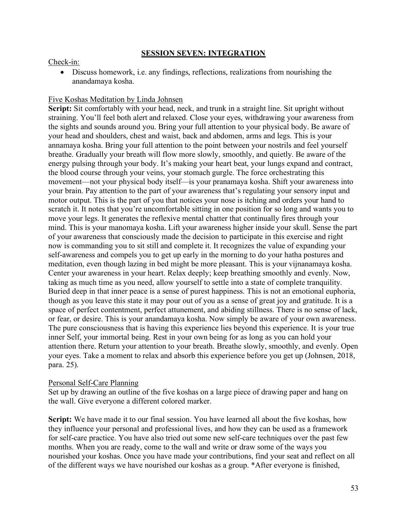### **SESSION SEVEN: INTEGRATION**

### Check-in:

• Discuss homework, i.e. any findings, reflections, realizations from nourishing the anandamaya kosha.

## Five Koshas Meditation by Linda Johnsen

Script: Sit comfortably with your head, neck, and trunk in a straight line. Sit upright without straining. You'll feel both alert and relaxed. Close your eyes, withdrawing your awareness from the sights and sounds around you. Bring your full attention to your physical body. Be aware of your head and shoulders, chest and waist, back and abdomen, arms and legs. This is your annamaya kosha. Bring your full attention to the point between your nostrils and feel yourself breathe. Gradually your breath will flow more slowly, smoothly, and quietly. Be aware of the energy pulsing through your body. It's making your heart beat, your lungs expand and contract, the blood course through your veins, your stomach gurgle. The force orchestrating this movement—not your physical body itself—is your pranamaya kosha. Shift your awareness into your brain. Pay attention to the part of your awareness that's regulating your sensory input and motor output. This is the part of you that notices your nose is itching and orders your hand to scratch it. It notes that you're uncomfortable sitting in one position for so long and wants you to move your legs. It generates the reflexive mental chatter that continually fires through your mind. This is your manomaya kosha. Lift your awareness higher inside your skull. Sense the part of your awareness that consciously made the decision to participate in this exercise and right now is commanding you to sit still and complete it. It recognizes the value of expanding your self-awareness and compels you to get up early in the morning to do your hatha postures and meditation, even though lazing in bed might be more pleasant. This is your vijnanamaya kosha. Center your awareness in your heart. Relax deeply; keep breathing smoothly and evenly. Now, taking as much time as you need, allow yourself to settle into a state of complete tranquility. Buried deep in that inner peace is a sense of purest happiness. This is not an emotional euphoria, though as you leave this state it may pour out of you as a sense of great joy and gratitude. It is a space of perfect contentment, perfect attunement, and abiding stillness. There is no sense of lack, or fear, or desire. This is your anandamaya kosha. Now simply be aware of your own awareness. The pure consciousness that is having this experience lies beyond this experience. It is your true inner Self, your immortal being. Rest in your own being for as long as you can hold your attention there. Return your attention to your breath. Breathe slowly, smoothly, and evenly. Open your eyes. Take a moment to relax and absorb this experience before you get up (Johnsen, 2018, para. 25).

# Personal Self-Care Planning

Set up by drawing an outline of the five koshas on a large piece of drawing paper and hang on the wall. Give everyone a different colored marker.

**Script:** We have made it to our final session. You have learned all about the five koshas, how they influence your personal and professional lives, and how they can be used as a framework for self-care practice. You have also tried out some new self-care techniques over the past few months. When you are ready, come to the wall and write or draw some of the ways you nourished your koshas. Once you have made your contributions, find your seat and reflect on all of the different ways we have nourished our koshas as a group. \*After everyone is finished,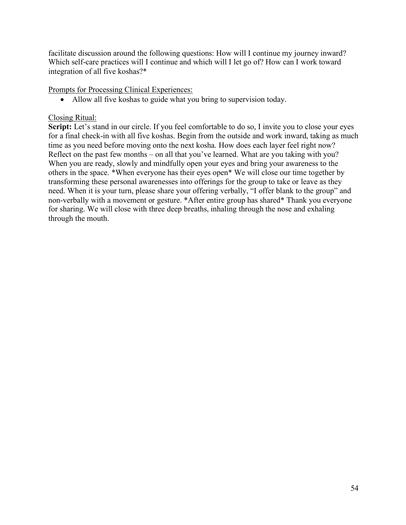facilitate discussion around the following questions: How will I continue my journey inward? Which self-care practices will I continue and which will I let go of? How can I work toward integration of all five koshas?\*

Prompts for Processing Clinical Experiences:

• Allow all five koshas to guide what you bring to supervision today.

# Closing Ritual:

**Script:** Let's stand in our circle. If you feel comfortable to do so, I invite you to close your eyes for a final check-in with all five koshas. Begin from the outside and work inward, taking as much time as you need before moving onto the next kosha. How does each layer feel right now? Reflect on the past few months – on all that you've learned. What are you taking with you? When you are ready, slowly and mindfully open your eyes and bring your awareness to the others in the space. \*When everyone has their eyes open\* We will close our time together by transforming these personal awarenesses into offerings for the group to take or leave as they need. When it is your turn, please share your offering verbally, "I offer blank to the group" and non-verbally with a movement or gesture. \*After entire group has shared\* Thank you everyone for sharing. We will close with three deep breaths, inhaling through the nose and exhaling through the mouth.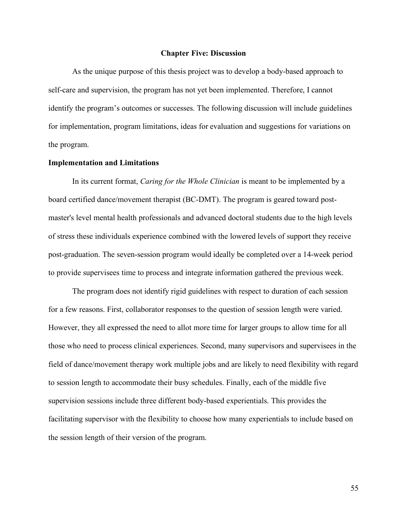#### **Chapter Five: Discussion**

As the unique purpose of this thesis project was to develop a body-based approach to self-care and supervision, the program has not yet been implemented. Therefore, I cannot identify the program's outcomes or successes. The following discussion will include guidelines for implementation, program limitations, ideas for evaluation and suggestions for variations on the program.

#### **Implementation and Limitations**

In its current format, *Caring for the Whole Clinician* is meant to be implemented by a board certified dance/movement therapist (BC-DMT). The program is geared toward postmaster's level mental health professionals and advanced doctoral students due to the high levels of stress these individuals experience combined with the lowered levels of support they receive post-graduation. The seven-session program would ideally be completed over a 14-week period to provide supervisees time to process and integrate information gathered the previous week.

The program does not identify rigid guidelines with respect to duration of each session for a few reasons. First, collaborator responses to the question of session length were varied. However, they all expressed the need to allot more time for larger groups to allow time for all those who need to process clinical experiences. Second, many supervisors and supervisees in the field of dance/movement therapy work multiple jobs and are likely to need flexibility with regard to session length to accommodate their busy schedules. Finally, each of the middle five supervision sessions include three different body-based experientials. This provides the facilitating supervisor with the flexibility to choose how many experientials to include based on the session length of their version of the program.

55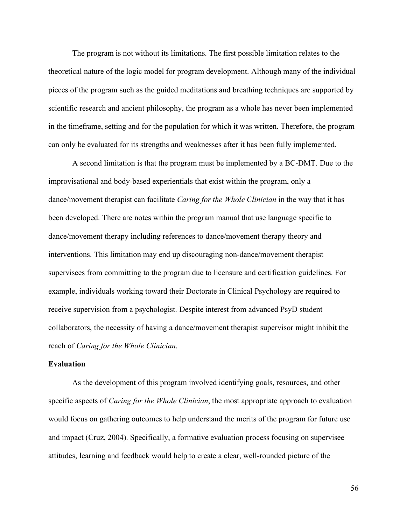The program is not without its limitations. The first possible limitation relates to the theoretical nature of the logic model for program development. Although many of the individual pieces of the program such as the guided meditations and breathing techniques are supported by scientific research and ancient philosophy, the program as a whole has never been implemented in the timeframe, setting and for the population for which it was written. Therefore, the program can only be evaluated for its strengths and weaknesses after it has been fully implemented.

A second limitation is that the program must be implemented by a BC-DMT. Due to the improvisational and body-based experientials that exist within the program, only a dance/movement therapist can facilitate *Caring for the Whole Clinician* in the way that it has been developed. There are notes within the program manual that use language specific to dance/movement therapy including references to dance/movement therapy theory and interventions. This limitation may end up discouraging non-dance/movement therapist supervisees from committing to the program due to licensure and certification guidelines. For example, individuals working toward their Doctorate in Clinical Psychology are required to receive supervision from a psychologist. Despite interest from advanced PsyD student collaborators, the necessity of having a dance/movement therapist supervisor might inhibit the reach of *Caring for the Whole Clinician*.

#### **Evaluation**

As the development of this program involved identifying goals, resources, and other specific aspects of *Caring for the Whole Clinician*, the most appropriate approach to evaluation would focus on gathering outcomes to help understand the merits of the program for future use and impact (Cruz, 2004). Specifically, a formative evaluation process focusing on supervisee attitudes, learning and feedback would help to create a clear, well-rounded picture of the

56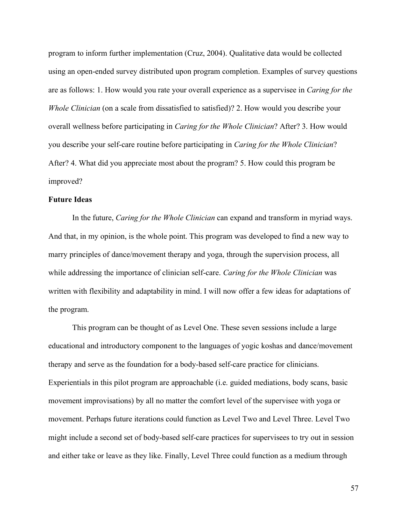program to inform further implementation (Cruz, 2004). Qualitative data would be collected using an open-ended survey distributed upon program completion. Examples of survey questions are as follows: 1. How would you rate your overall experience as a supervisee in *Caring for the Whole Clinician* (on a scale from dissatisfied to satisfied)? 2. How would you describe your overall wellness before participating in *Caring for the Whole Clinician*? After? 3. How would you describe your self-care routine before participating in *Caring for the Whole Clinician*? After? 4. What did you appreciate most about the program? 5. How could this program be improved?

#### **Future Ideas**

In the future, *Caring for the Whole Clinician* can expand and transform in myriad ways. And that, in my opinion, is the whole point. This program was developed to find a new way to marry principles of dance/movement therapy and yoga, through the supervision process, all while addressing the importance of clinician self-care. *Caring for the Whole Clinician* was written with flexibility and adaptability in mind. I will now offer a few ideas for adaptations of the program.

This program can be thought of as Level One. These seven sessions include a large educational and introductory component to the languages of yogic koshas and dance/movement therapy and serve as the foundation for a body-based self-care practice for clinicians. Experientials in this pilot program are approachable (i.e. guided mediations, body scans, basic movement improvisations) by all no matter the comfort level of the supervisee with yoga or movement. Perhaps future iterations could function as Level Two and Level Three. Level Two might include a second set of body-based self-care practices for supervisees to try out in session and either take or leave as they like. Finally, Level Three could function as a medium through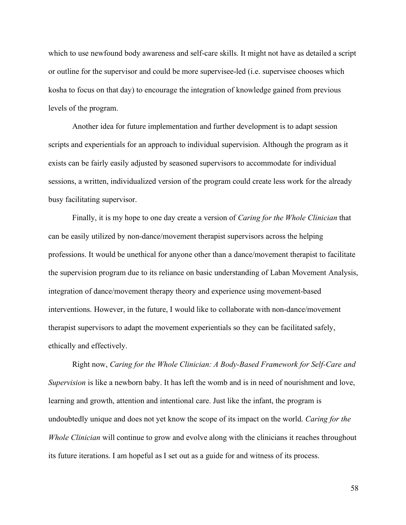which to use newfound body awareness and self-care skills. It might not have as detailed a script or outline for the supervisor and could be more supervisee-led (i.e. supervisee chooses which kosha to focus on that day) to encourage the integration of knowledge gained from previous levels of the program.

Another idea for future implementation and further development is to adapt session scripts and experientials for an approach to individual supervision. Although the program as it exists can be fairly easily adjusted by seasoned supervisors to accommodate for individual sessions, a written, individualized version of the program could create less work for the already busy facilitating supervisor.

Finally, it is my hope to one day create a version of *Caring for the Whole Clinician* that can be easily utilized by non-dance/movement therapist supervisors across the helping professions. It would be unethical for anyone other than a dance/movement therapist to facilitate the supervision program due to its reliance on basic understanding of Laban Movement Analysis, integration of dance/movement therapy theory and experience using movement-based interventions. However, in the future, I would like to collaborate with non-dance/movement therapist supervisors to adapt the movement experientials so they can be facilitated safely, ethically and effectively.

Right now, *Caring for the Whole Clinician: A Body-Based Framework for Self-Care and Supervision* is like a newborn baby. It has left the womb and is in need of nourishment and love, learning and growth, attention and intentional care. Just like the infant, the program is undoubtedly unique and does not yet know the scope of its impact on the world. *Caring for the Whole Clinician* will continue to grow and evolve along with the clinicians it reaches throughout its future iterations. I am hopeful as I set out as a guide for and witness of its process.

58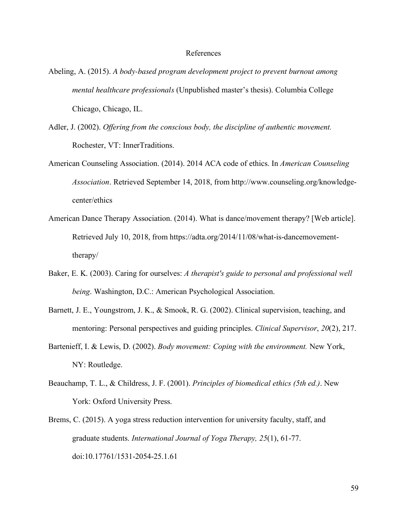#### References

- Abeling, A. (2015). *A body-based program development project to prevent burnout among mental healthcare professionals* (Unpublished master's thesis). Columbia College Chicago, Chicago, IL.
- Adler, J. (2002). *Offering from the conscious body, the discipline of authentic movement.* Rochester, VT: InnerTraditions.
- American Counseling Association. (2014). 2014 ACA code of ethics. In *American Counseling Association*. Retrieved September 14, 2018, from http://www.counseling.org/knowledgecenter/ethics
- American Dance Therapy Association. (2014). What is dance/movement therapy? [Web article]. Retrieved July 10, 2018, from https://adta.org/2014/11/08/what-is-dancemovementtherapy/
- Baker, E. K. (2003). Caring for ourselves: *A therapist's guide to personal and professional well being*. Washington, D.C.: American Psychological Association.
- Barnett, J. E., Youngstrom, J. K., & Smook, R. G. (2002). Clinical supervision, teaching, and mentoring: Personal perspectives and guiding principles. *Clinical Supervisor*, *20*(2), 217.
- Bartenieff, I. & Lewis, D. (2002). *Body movement: Coping with the environment.* New York, NY: Routledge.
- Beauchamp, T. L., & Childress, J. F. (2001). *Principles of biomedical ethics (5th ed.)*. New York: Oxford University Press.
- Brems, C. (2015). A yoga stress reduction intervention for university faculty, staff, and graduate students. *International Journal of Yoga Therapy, 25*(1), 61-77. doi:10.17761/1531-2054-25.1.61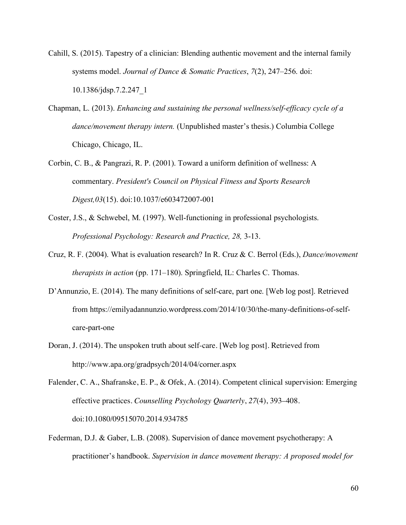- Cahill, S. (2015). Tapestry of a clinician: Blending authentic movement and the internal family systems model. *Journal of Dance & Somatic Practices*, *7*(2), 247–256. doi: 10.1386/jdsp.7.2.247\_1
- Chapman, L. (2013). *Enhancing and sustaining the personal wellness/self-efficacy cycle of a dance/movement therapy intern.* (Unpublished master's thesis.) Columbia College Chicago, Chicago, IL.
- Corbin, C. B., & Pangrazi, R. P. (2001). Toward a uniform definition of wellness: A commentary. *President's Council on Physical Fitness and Sports Research Digest,03*(15). doi:10.1037/e603472007-001
- Coster, J.S., & Schwebel, M. (1997). Well-functioning in professional psychologists. *Professional Psychology: Research and Practice, 28,* 3-13.
- Cruz, R. F. (2004). What is evaluation research? In R. Cruz & C. Berrol (Eds.), *Dance/movement therapists in action* (pp. 171–180). Springfield, IL: Charles C. Thomas.
- D'Annunzio, E. (2014). The many definitions of self-care, part one. [Web log post]. Retrieved from https://emilyadannunzio.wordpress.com/2014/10/30/the-many-definitions-of-selfcare-part-one
- Doran, J. (2014). The unspoken truth about self-care. [Web log post]. Retrieved from http://www.apa.org/gradpsych/2014/04/corner.aspx

Falender, C. A., Shafranske, E. P., & Ofek, A. (2014). Competent clinical supervision: Emerging effective practices. *Counselling Psychology Quarterly*, *27*(4), 393–408. doi:10.1080/09515070.2014.934785

Federman, D.J. & Gaber, L.B. (2008). Supervision of dance movement psychotherapy: A practitioner's handbook. *Supervision in dance movement therapy: A proposed model for*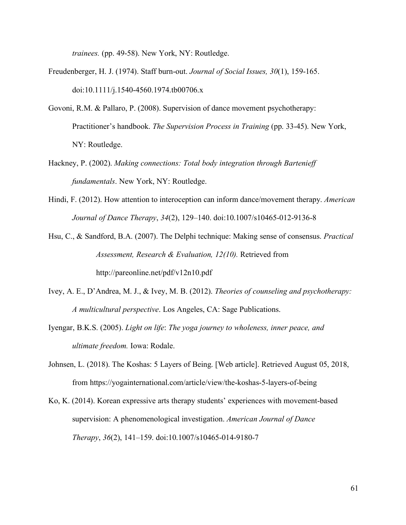*trainees.* (pp. 49-58). New York, NY: Routledge.

- Freudenberger, H. J. (1974). Staff burn-out. *Journal of Social Issues, 30*(1), 159-165. doi:10.1111/j.1540-4560.1974.tb00706.x
- Govoni, R.M. & Pallaro, P. (2008). Supervision of dance movement psychotherapy: Practitioner's handbook. *The Supervision Process in Training* (pp. 33-45). New York, NY: Routledge.
- Hackney, P. (2002). *Making connections: Total body integration through Bartenieff fundamentals*. New York, NY: Routledge.
- Hindi, F. (2012). How attention to interoception can inform dance/movement therapy. *American Journal of Dance Therapy*, *34*(2), 129–140. doi:10.1007/s10465-012-9136-8
- Hsu, C., & Sandford, B.A. (2007). The Delphi technique: Making sense of consensus. *Practical Assessment, Research & Evaluation, 12(10).* Retrieved from http://pareonline.net/pdf/v12n10.pdf
- Ivey, A. E., D'Andrea, M. J., & Ivey, M. B. (2012). *Theories of counseling and psychotherapy: A multicultural perspective*. Los Angeles, CA: Sage Publications.
- Iyengar, B.K.S. (2005). *Light on life*: *The yoga journey to wholeness, inner peace, and ultimate freedom.* Iowa: Rodale.
- Johnsen, L. (2018). The Koshas: 5 Layers of Being. [Web article]. Retrieved August 05, 2018, from https://yogainternational.com/article/view/the-koshas-5-layers-of-being
- Ko, K. (2014). Korean expressive arts therapy students' experiences with movement-based supervision: A phenomenological investigation. *American Journal of Dance Therapy*, *36*(2), 141–159. doi:10.1007/s10465-014-9180-7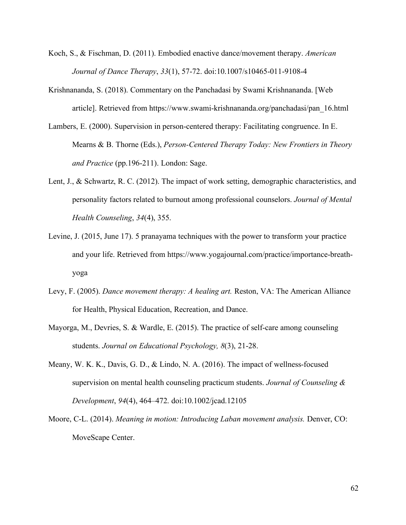- Koch, S., & Fischman, D. (2011). Embodied enactive dance/movement therapy. *American Journal of Dance Therapy*, *33*(1), 57-72. doi:10.1007/s10465-011-9108-4
- Krishnananda, S. (2018). Commentary on the Panchadasi by Swami Krishnananda. [Web article]. Retrieved from https://www.swami-krishnananda.org/panchadasi/pan\_16.html
- Lambers, E. (2000). Supervision in person-centered therapy: Facilitating congruence. In E. Mearns & B. Thorne (Eds.), *Person-Centered Therapy Today: New Frontiers in Theory and Practice* (pp.196-211). London: Sage.
- Lent, J., & Schwartz, R. C. (2012). The impact of work setting, demographic characteristics, and personality factors related to burnout among professional counselors. *Journal of Mental Health Counseling*, *34*(4), 355.
- Levine, J. (2015, June 17). 5 pranayama techniques with the power to transform your practice and your life. Retrieved from https://www.yogajournal.com/practice/importance-breathyoga
- Levy, F. (2005). *Dance movement therapy: A healing art.* Reston, VA: The American Alliance for Health, Physical Education, Recreation, and Dance.
- Mayorga, M., Devries, S. & Wardle, E. (2015). The practice of self-care among counseling students. *Journal on Educational Psychology, 8*(3), 21-28.
- Meany, W. K. K., Davis, G. D., & Lindo, N. A. (2016). The impact of wellness-focused supervision on mental health counseling practicum students. *Journal of Counseling & Development*, *94*(4), 464–472. doi:10.1002/jcad.12105
- Moore, C-L. (2014). *Meaning in motion: Introducing Laban movement analysis.* Denver, CO: MoveScape Center.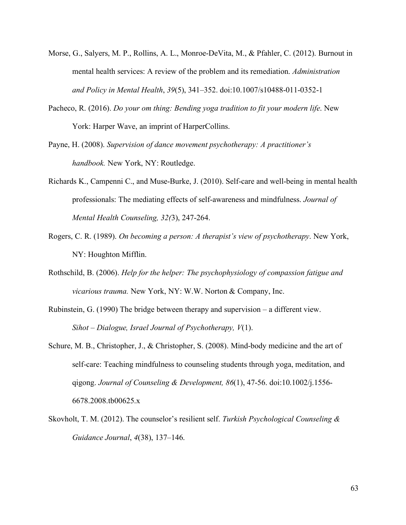- Morse, G., Salyers, M. P., Rollins, A. L., Monroe-DeVita, M., & Pfahler, C. (2012). Burnout in mental health services: A review of the problem and its remediation. *Administration and Policy in Mental Health*, *39*(5), 341–352. doi:10.1007/s10488-011-0352-1
- Pacheco, R. (2016). *Do your om thing: Bending yoga tradition to fit your modern life*. New York: Harper Wave, an imprint of HarperCollins.
- Payne, H. (2008). *Supervision of dance movement psychotherapy: A practitioner's handbook.* New York, NY: Routledge.
- Richards K., Campenni C., and Muse-Burke, J. (2010). Self-care and well-being in mental health professionals: The mediating effects of self-awareness and mindfulness. *Journal of Mental Health Counseling, 32(*3), 247-264.
- Rogers, C. R. (1989). *On becoming a person: A therapist's view of psychotherapy*. New York, NY: Houghton Mifflin.
- Rothschild, B. (2006). *Help for the helper: The psychophysiology of compassion fatigue and vicarious trauma.* New York, NY: W.W. Norton & Company, Inc.
- Rubinstein, G. (1990) The bridge between therapy and supervision a different view. *Sihot – Dialogue, Israel Journal of Psychotherapy, V*(1).
- Schure, M. B., Christopher, J., & Christopher, S. (2008). Mind-body medicine and the art of self-care: Teaching mindfulness to counseling students through yoga, meditation, and qigong. *Journal of Counseling & Development, 86*(1), 47-56. doi:10.1002/j.1556- 6678.2008.tb00625.x
- Skovholt, T. M. (2012). The counselor's resilient self. *Turkish Psychological Counseling & Guidance Journal*, *4*(38), 137–146.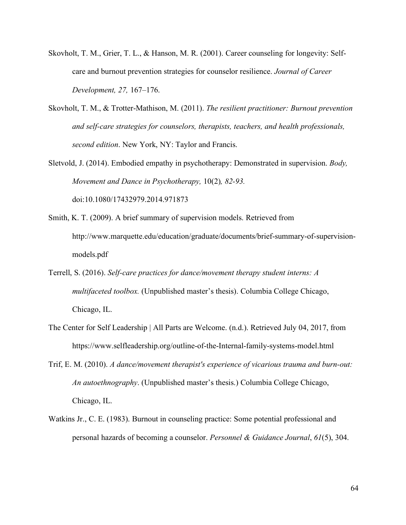- Skovholt, T. M., Grier, T. L., & Hanson, M. R. (2001). Career counseling for longevity: Selfcare and burnout prevention strategies for counselor resilience. *Journal of Career Development, 27,* 167–176.
- Skovholt, T. M., & Trotter-Mathison, M. (2011). *The resilient practitioner: Burnout prevention and self-care strategies for counselors, therapists, teachers, and health professionals, second edition*. New York, NY: Taylor and Francis.
- Sletvold, J. (2014). Embodied empathy in psychotherapy: Demonstrated in supervision. *Body, Movement and Dance in Psychotherapy,* 10(2)*, 82-93.* doi:10.1080/17432979.2014.971873
- Smith, K. T. (2009). A brief summary of supervision models. Retrieved from http://www.marquette.edu/education/graduate/documents/brief-summary-of-supervisionmodels.pdf
- Terrell, S. (2016). *Self-care practices for dance/movement therapy student interns: A multifaceted toolbox.* (Unpublished master's thesis). Columbia College Chicago, Chicago, IL.
- The Center for Self Leadership | All Parts are Welcome. (n.d.). Retrieved July 04, 2017, from https://www.selfleadership.org/outline-of-the-Internal-family-systems-model.html
- Trif, E. M. (2010). *A dance/movement therapist's experience of vicarious trauma and burn-out: An autoethnography*. (Unpublished master's thesis.) Columbia College Chicago, Chicago, IL.
- Watkins Jr., C. E. (1983). Burnout in counseling practice: Some potential professional and personal hazards of becoming a counselor. *Personnel & Guidance Journal*, *61*(5), 304.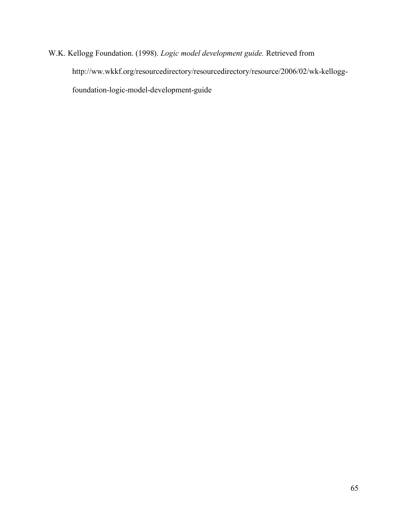W.K. Kellogg Foundation. (1998). *Logic model development guide.* Retrieved from http://ww.wkkf.org/resourcedirectory/resourcedirectory/resource/2006/02/wk-kelloggfoundation-logic-model-development-guide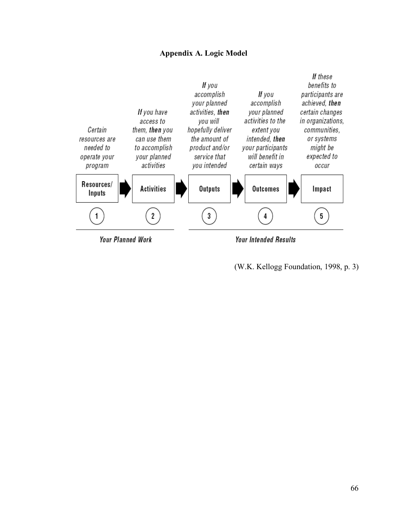# **Appendix A. Logic Model**



(W.K. Kellogg Foundation, 1998, p. 3)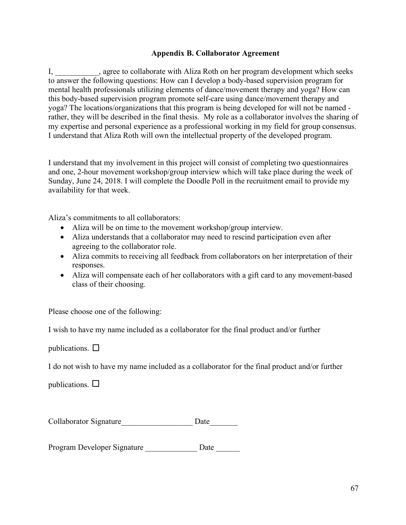# **Appendix B. Collaborator Agreement**

I, agree to collaborate with Aliza Roth on her program development which seeks to answer the following questions: How can I develop a body-based supervision program for mental health professionals utilizing elements of dance/movement therapy and yoga? How can this body-based supervision program promote self-care using dance/movement therapy and yoga? The locations/organizations that this program is being developed for will not be named rather, they will be described in the final thesis. My role as a collaborator involves the sharing of my expertise and personal experience as a professional working in my field for group consensus. I understand that Aliza Roth will own the intellectual property of the developed program.

I understand that my involvement in this project will consist of completing two questionnaires and one, 2-hour movement workshop/group interview which will take place during the week of Sunday, June 24, 2018. I will complete the Doodle Poll in the recruitment email to provide my availability for that week.

Aliza's commitments to all collaborators:

- Aliza will be on time to the movement workshop/group interview.
- Aliza understands that a collaborator may need to rescind participation even after agreeing to the collaborator role.
- Aliza commits to receiving all feedback from collaborators on her interpretation of their responses.
- Aliza will compensate each of her collaborators with a gift card to any movement-based class of their choosing.

Please choose one of the following:

I wish to have my name included as a collaborator for the final product and/or further

publications.  $\Box$ 

I do not wish to have my name included as a collaborator for the final product and/or further

publications.  $\Box$ 

| Collaborator Signature | Date |
|------------------------|------|
|                        |      |

Program Developer Signature \_\_\_\_\_\_\_\_\_\_\_\_\_\_\_\_\_ Date \_\_\_\_\_\_\_\_\_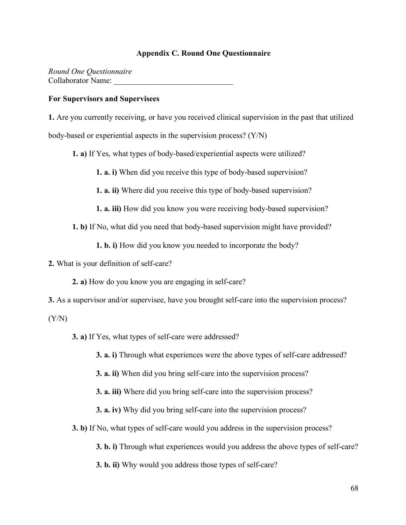#### **Appendix C. Round One Questionnaire**

*Round One Questionnaire* Collaborator Name:

#### **For Supervisors and Supervisees**

**1.** Are you currently receiving, or have you received clinical supervision in the past that utilized body-based or experiential aspects in the supervision process? (Y/N)

**1. a)** If Yes, what types of body-based/experiential aspects were utilized?

**1. a. i)** When did you receive this type of body-based supervision?

**1. a. ii)** Where did you receive this type of body-based supervision?

**1. a. iii)** How did you know you were receiving body-based supervision?

**1. b)** If No, what did you need that body-based supervision might have provided?

**1. b. i)** How did you know you needed to incorporate the body?

**2.** What is your definition of self-care?

**2. a)** How do you know you are engaging in self-care?

**3.** As a supervisor and/or supervisee, have you brought self-care into the supervision process?

 $(Y/N)$ 

**3. a)** If Yes, what types of self-care were addressed?

**3. a. i)** Through what experiences were the above types of self-care addressed?

**3. a. ii)** When did you bring self-care into the supervision process?

**3. a. iii)** Where did you bring self-care into the supervision process?

**3. a. iv)** Why did you bring self-care into the supervision process?

**3. b)** If No, what types of self-care would you address in the supervision process?

**3. b. i)** Through what experiences would you address the above types of self-care?

**3. b. ii)** Why would you address those types of self-care?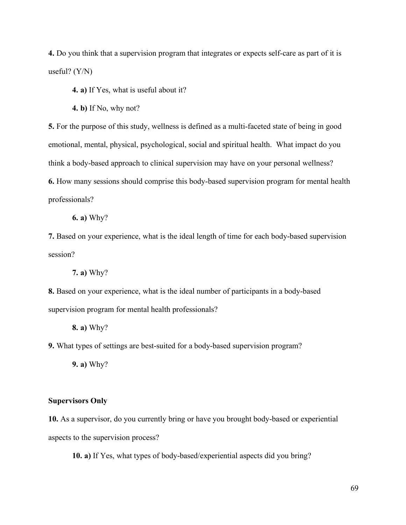**4.** Do you think that a supervision program that integrates or expects self-care as part of it is useful? (Y/N)

**4. a)** If Yes, what is useful about it?

**4. b)** If No, why not?

**5.** For the purpose of this study, wellness is defined as a multi-faceted state of being in good emotional, mental, physical, psychological, social and spiritual health. What impact do you think a body-based approach to clinical supervision may have on your personal wellness?

**6.** How many sessions should comprise this body-based supervision program for mental health professionals?

**6. a)** Why?

**7.** Based on your experience, what is the ideal length of time for each body-based supervision session?

**7. a)** Why?

**8.** Based on your experience, what is the ideal number of participants in a body-based supervision program for mental health professionals?

**8. a)** Why?

**9.** What types of settings are best-suited for a body-based supervision program?

**9. a)** Why?

#### **Supervisors Only**

**10.** As a supervisor, do you currently bring or have you brought body-based or experiential aspects to the supervision process?

**10. a)** If Yes, what types of body-based/experiential aspects did you bring?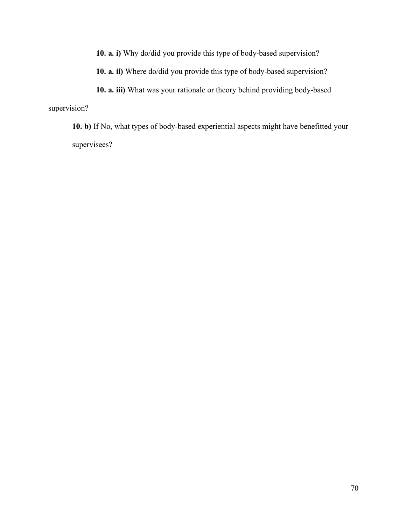**10. a. i)** Why do/did you provide this type of body-based supervision?

**10. a. ii)** Where do/did you provide this type of body-based supervision?

**10. a. iii)** What was your rationale or theory behind providing body-based supervision?

**10. b)** If No, what types of body-based experiential aspects might have benefitted your supervisees?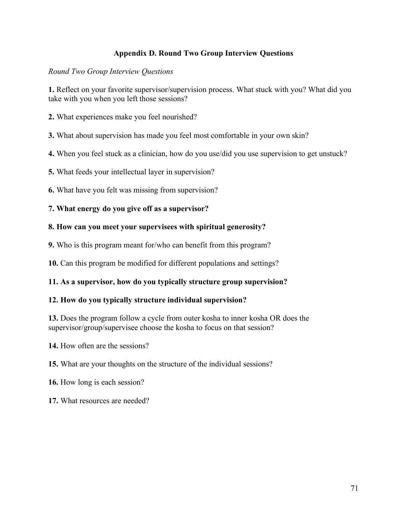# **Appendix D. Round Two Group Interview Questions**

### *Round Two Group Interview Questions*

**1.** Reflect on your favorite supervisor/supervision process. What stuck with you? What did you take with you when you left those sessions?

- **2.** What experiences make you feel nourished?
- **3.** What about supervision has made you feel most comfortable in your own skin?
- **4.** When you feel stuck as a clinician, how do you use/did you use supervision to get unstuck?
- **5.** What feeds your intellectual layer in supervision?
- **6.** What have you felt was missing from supervision?
- **7. What energy do you give off as a supervisor?**

#### **8. How can you meet your supervisees with spiritual generosity?**

**9.** Who is this program meant for/who can benefit from this program?

**10.** Can this program be modified for different populations and settings?

# **11. As a supervisor, how do you typically structure group supervision?**

#### **12. How do you typically structure individual supervision?**

**13.** Does the program follow a cycle from outer kosha to inner kosha OR does the supervisor/group/supervisee choose the kosha to focus on that session?

**14.** How often are the sessions?

- **15.** What are your thoughts on the structure of the individual sessions?
- **16.** How long is each session?
- **17.** What resources are needed?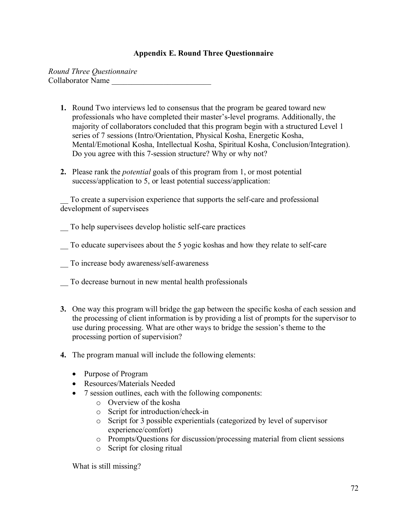# **Appendix E. Round Three Questionnaire**

*Round Three Questionnaire* Collaborator Name \_\_\_\_\_\_\_\_\_\_\_\_\_\_\_\_\_\_\_\_\_\_\_\_\_

- **1.** Round Two interviews led to consensus that the program be geared toward new professionals who have completed their master's-level programs. Additionally, the majority of collaborators concluded that this program begin with a structured Level 1 series of 7 sessions (Intro/Orientation, Physical Kosha, Energetic Kosha, Mental/Emotional Kosha, Intellectual Kosha, Spiritual Kosha, Conclusion/Integration). Do you agree with this 7-session structure? Why or why not?
- **2.** Please rank the *potential* goals of this program from 1, or most potential success/application to 5, or least potential success/application:

\_\_ To create a supervision experience that supports the self-care and professional development of supervisees

\_\_ To help supervisees develop holistic self-care practices

- To educate supervisees about the 5 yogic koshas and how they relate to self-care
- \_\_ To increase body awareness/self-awareness
- \_\_ To decrease burnout in new mental health professionals
- **3.** One way this program will bridge the gap between the specific kosha of each session and the processing of client information is by providing a list of prompts for the supervisor to use during processing. What are other ways to bridge the session's theme to the processing portion of supervision?
- **4.** The program manual will include the following elements:
	- Purpose of Program
	- Resources/Materials Needed
	- 7 session outlines, each with the following components:
		- o Overview of the kosha
		- o Script for introduction/check-in
		- o Script for 3 possible experientials (categorized by level of supervisor experience/comfort)
		- o Prompts/Questions for discussion/processing material from client sessions
		- o Script for closing ritual

What is still missing?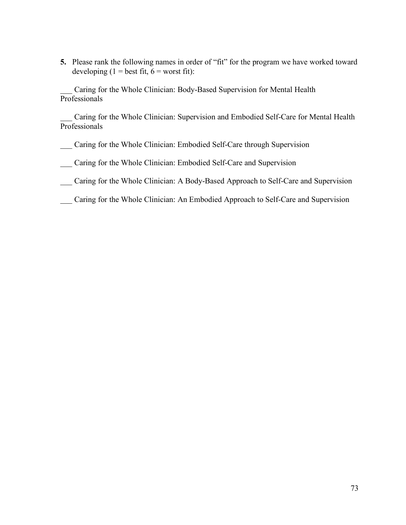**5.** Please rank the following names in order of "fit" for the program we have worked toward developing  $(1 = \text{best fit}, 6 = \text{worst fit})$ :

Caring for the Whole Clinician: Body-Based Supervision for Mental Health Professionals

Caring for the Whole Clinician: Supervision and Embodied Self-Care for Mental Health Professionals

\_\_\_ Caring for the Whole Clinician: Embodied Self-Care through Supervision

\_\_\_ Caring for the Whole Clinician: Embodied Self-Care and Supervision

\_\_\_ Caring for the Whole Clinician: A Body-Based Approach to Self-Care and Supervision

\_\_\_ Caring for the Whole Clinician: An Embodied Approach to Self-Care and Supervision